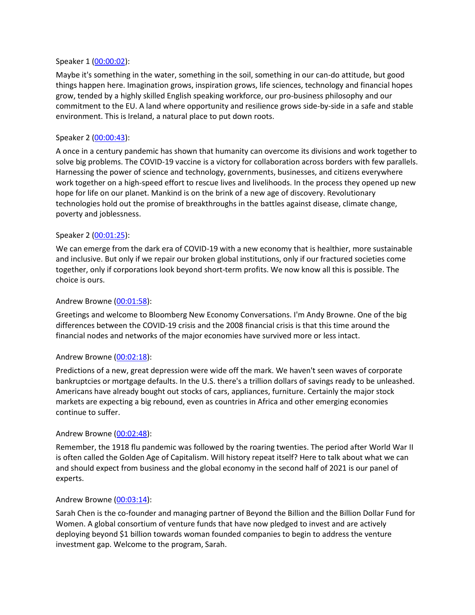### Speaker 1 [\(00:00:02\)](https://www.rev.com/transcript-editor/Edit?token=ZFV94lVV1o-S7KJYQAec0mobA6PX6cm3KfmwDsvph9Xh10j-vBmH8MVj7Z6ruEcr0EqrYbtXm1tJobRIpCu96DwBKik&loadFrom=DocumentDeeplink&ts=2.6):

Maybe it's something in the water, something in the soil, something in our can-do attitude, but good things happen here. Imagination grows, inspiration grows, life sciences, technology and financial hopes grow, tended by a highly skilled English speaking workforce, our pro-business philosophy and our commitment to the EU. A land where opportunity and resilience grows side-by-side in a safe and stable environment. This is Ireland, a natural place to put down roots.

## Speaker 2 [\(00:00:43\)](https://www.rev.com/transcript-editor/Edit?token=DIpdPKCrSlUcCUIaUuX2etnyK5wSU_Jr3CYttcdsU_4VPjkMN2MyOkG_WepkD55bbkuvbHlvZN-Enw0phPCdV--D53k&loadFrom=DocumentDeeplink&ts=43.35):

A once in a century pandemic has shown that humanity can overcome its divisions and work together to solve big problems. The COVID-19 vaccine is a victory for collaboration across borders with few parallels. Harnessing the power of science and technology, governments, businesses, and citizens everywhere work together on a high-speed effort to rescue lives and livelihoods. In the process they opened up new hope for life on our planet. Mankind is on the brink of a new age of discovery. Revolutionary technologies hold out the promise of breakthroughs in the battles against disease, climate change, poverty and joblessness.

# Speaker 2 [\(00:01:25\)](https://www.rev.com/transcript-editor/Edit?token=bVm7p-yettMFy_e3YqthIhwjDprE6lXtgV1-zdxsF2S8OKUqrhETIPiUvXZzXu9A4BWY7L6xN9pCMU6GzxY5Qu3U64Q&loadFrom=DocumentDeeplink&ts=85.78):

We can emerge from the dark era of COVID-19 with a new economy that is healthier, more sustainable and inclusive. But only if we repair our broken global institutions, only if our fractured societies come together, only if corporations look beyond short-term profits. We now know all this is possible. The choice is ours.

## Andrew Browne [\(00:01:58\)](https://www.rev.com/transcript-editor/Edit?token=auCPHEEUECRIdzphoT1iCsBpnQCqVT1YacGmqaYRqcrY_1QGlINUY1hnfujhkocsj6yrqPC5D5Cnzj-apo8qblEIeyc&loadFrom=DocumentDeeplink&ts=118.24):

Greetings and welcome to Bloomberg New Economy Conversations. I'm Andy Browne. One of the big differences between the COVID-19 crisis and the 2008 financial crisis is that this time around the financial nodes and networks of the major economies have survived more or less intact.

### Andrew Browne [\(00:02:18\)](https://www.rev.com/transcript-editor/Edit?token=JfFXKEBoQ3uokdpOVUhVSDA8q7syhhnNUUSoeuTHrd_VQJLFng_Aq4Y7dB3LYT0HoaWJkP7wrn4wBtw7aLP7YBX5m0k&loadFrom=DocumentDeeplink&ts=138.66):

Predictions of a new, great depression were wide off the mark. We haven't seen waves of corporate bankruptcies or mortgage defaults. In the U.S. there's a trillion dollars of savings ready to be unleashed. Americans have already bought out stocks of cars, appliances, furniture. Certainly the major stock markets are expecting a big rebound, even as countries in Africa and other emerging economies continue to suffer.

### Andrew Browne [\(00:02:48\)](https://www.rev.com/transcript-editor/Edit?token=BxHxzceRomfjNW8PtHIcx1JyujIlA-LJhz63F9jFd4gcxIJ9yP7Fparl4yqTBlp2tRQbD4sOdW9U53cIO5zETnq3thM&loadFrom=DocumentDeeplink&ts=168.53):

Remember, the 1918 flu pandemic was followed by the roaring twenties. The period after World War II is often called the Golden Age of Capitalism. Will history repeat itself? Here to talk about what we can and should expect from business and the global economy in the second half of 2021 is our panel of experts.

### Andrew Browne [\(00:03:14\)](https://www.rev.com/transcript-editor/Edit?token=DKaVYXhN4F211alVmIP5c78pEFaGGgrUA5cSAFDPYzpM-PD3JJQWu_OWPhvhEJg3wbQla6EjpJPnZ88qrkL7C9Qz9cM&loadFrom=DocumentDeeplink&ts=194.39):

Sarah Chen is the co-founder and managing partner of Beyond the Billion and the Billion Dollar Fund for Women. A global consortium of venture funds that have now pledged to invest and are actively deploying beyond \$1 billion towards woman founded companies to begin to address the venture investment gap. Welcome to the program, Sarah.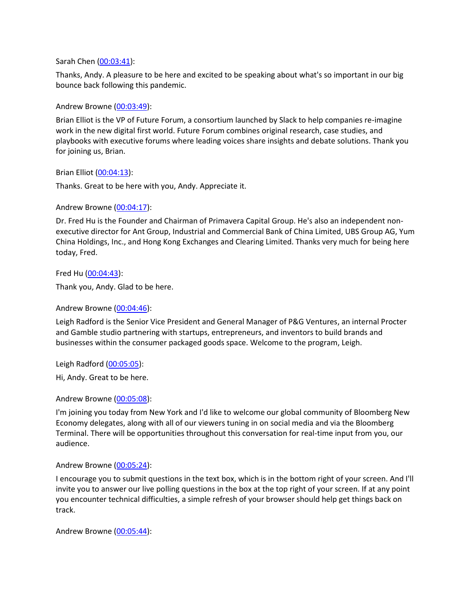### Sarah Chen [\(00:03:41\)](https://www.rev.com/transcript-editor/Edit?token=58URGIjf0upCVIJS6Ynek7WbqhMbTHzU8niBiMozwkHJk8b9EnzcsmPqvNhEfIndAmaHi1i2es2T0KT9TZxCF350yaY&loadFrom=DocumentDeeplink&ts=221.34):

Thanks, Andy. A pleasure to be here and excited to be speaking about what's so important in our big bounce back following this pandemic.

## Andrew Browne [\(00:03:49\)](https://www.rev.com/transcript-editor/Edit?token=LplSuYS8apHJHkth4pWhtylA6C3TKuXOume-JxKuYesS9bfkVlszEwsicWaeRHtBxl1AK-J7VNXzlIsz-jtq4JfNYTc&loadFrom=DocumentDeeplink&ts=229.21):

Brian Elliot is the VP of Future Forum, a consortium launched by Slack to help companies re-imagine work in the new digital first world. Future Forum combines original research, case studies, and playbooks with executive forums where leading voices share insights and debate solutions. Thank you for joining us, Brian.

Brian Elliot [\(00:04:13\)](https://www.rev.com/transcript-editor/Edit?token=_zy9QkUV9CK1JTzjJl9O8QKftI9WgZSrjbt73_41iU-pbGNnSxomZwkBrswSvFv5xqXR6mNEFuJbGnOw-S9Qp3IB4Cg&loadFrom=DocumentDeeplink&ts=253.87):

Thanks. Great to be here with you, Andy. Appreciate it.

Andrew Browne [\(00:04:17\)](https://www.rev.com/transcript-editor/Edit?token=cNVdKkz3KTGxgHWLbqucsDOpMvKMTdMVuxEgCmei9YhYhtSbOp3gIHUyTDnDhHVkWCJ4BNRYIhh_nguHB-jIdEAvB5A&loadFrom=DocumentDeeplink&ts=257.83):

Dr. Fred Hu is the Founder and Chairman of Primavera Capital Group. He's also an independent nonexecutive director for Ant Group, Industrial and Commercial Bank of China Limited, UBS Group AG, Yum China Holdings, Inc., and Hong Kong Exchanges and Clearing Limited. Thanks very much for being here today, Fred.

Fred Hu [\(00:04:43\)](https://www.rev.com/transcript-editor/Edit?token=VVq7SR-ubbo7uc_UH-MqCJW2Y6_ixbJjyZl859jwYRg2Opthfh4bBBkx_cze0F20eFfnMbwD_0h-gTfHgzgS2pWjVS0&loadFrom=DocumentDeeplink&ts=283.58):

Thank you, Andy. Glad to be here.

Andrew Browne [\(00:04:46\)](https://www.rev.com/transcript-editor/Edit?token=_P8vx0GAbvsZNkuHP7FQ7FQzjCMLfS90J18YZieFOK6prX1KLc297StiBTzXlK86enKq63SiixDUVobFGVov59ndCs0&loadFrom=DocumentDeeplink&ts=286.33):

Leigh Radford is the Senior Vice President and General Manager of P&G Ventures, an internal Procter and Gamble studio partnering with startups, entrepreneurs, and inventors to build brands and businesses within the consumer packaged goods space. Welcome to the program, Leigh.

Leigh Radford [\(00:05:05\)](https://www.rev.com/transcript-editor/Edit?token=BdUg_jNqklQQBtOILB5UQhSEjGSFVCj_49WjPY7u_TAd1yBWxWyZL1e-tCI2vWQhajEHeoXKVFhY0C76HzfJbGXbXoM&loadFrom=DocumentDeeplink&ts=305.63):

Hi, Andy. Great to be here.

# Andrew Browne [\(00:05:08\)](https://www.rev.com/transcript-editor/Edit?token=mCu-pjqdb96sxTT0Hixye9x-RMMDoLuleRRaq1lhrIlSFXlrURVW19Dw_pGmhMGXqrX6vtYwI5fSIcIhPrpcEt9CmbE&loadFrom=DocumentDeeplink&ts=308.53):

I'm joining you today from New York and I'd like to welcome our global community of Bloomberg New Economy delegates, along with all of our viewers tuning in on social media and via the Bloomberg Terminal. There will be opportunities throughout this conversation for real-time input from you, our audience.

### Andrew Browne [\(00:05:24\)](https://www.rev.com/transcript-editor/Edit?token=l25gUew-KpYpNMoyHi8Zs5h-5oYII_ZpHWK7cpt36ILc9cybCyo0fxqPDAGXblM0nFBIbF08afq6nERACFLqQ8IMnl0&loadFrom=DocumentDeeplink&ts=324.29):

I encourage you to submit questions in the text box, which is in the bottom right of your screen. And I'll invite you to answer our live polling questions in the box at the top right of your screen. If at any point you encounter technical difficulties, a simple refresh of your browser should help get things back on track.

Andrew Browne [\(00:05:44\)](https://www.rev.com/transcript-editor/Edit?token=r92dEnu7jd4q6-2Q60aYU6zHuNFvpYDcIzySmgvlo3ZwVwO3hHoTW6tEBHb7kR4FN7P0MEdw96HHnJVesxNjOINREXI&loadFrom=DocumentDeeplink&ts=344.36):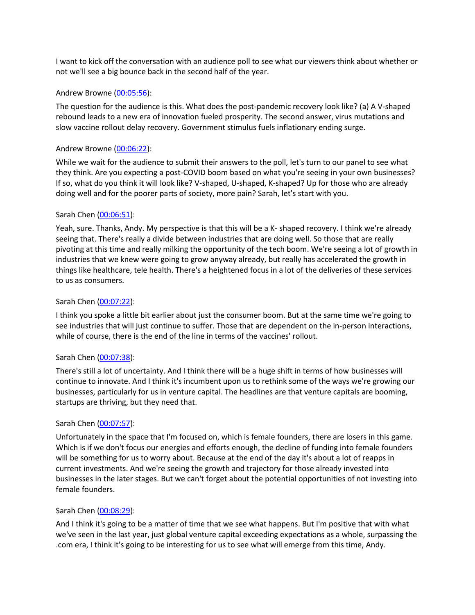I want to kick off the conversation with an audience poll to see what our viewers think about whether or not we'll see a big bounce back in the second half of the year.

## Andrew Browne [\(00:05:56\)](https://www.rev.com/transcript-editor/Edit?token=eTky0U0zmPsHmirw070B03eu0OTT1VfrQ2PW4YrbFkkaaNFgunkjBUz-duva0ueOQxw0QlWfPM8vvdZYx_zmXdsq5_0&loadFrom=DocumentDeeplink&ts=356.84):

The question for the audience is this. What does the post-pandemic recovery look like? (a) A V-shaped rebound leads to a new era of innovation fueled prosperity. The second answer, virus mutations and slow vaccine rollout delay recovery. Government stimulus fuels inflationary ending surge.

## Andrew Browne [\(00:06:22\)](https://www.rev.com/transcript-editor/Edit?token=Mxuc5DFu4ZvHFbXsZYUwlm-tYwOZpE7TA7heLGRj0wPrrbg1G7dyxbwBSuKMz9g_n779_4spAkXMhl9RrRz_K9QaqUU&loadFrom=DocumentDeeplink&ts=382.26):

While we wait for the audience to submit their answers to the poll, let's turn to our panel to see what they think. Are you expecting a post-COVID boom based on what you're seeing in your own businesses? If so, what do you think it will look like? V-shaped, U-shaped, K-shaped? Up for those who are already doing well and for the poorer parts of society, more pain? Sarah, let's start with you.

## Sarah Chen [\(00:06:51\)](https://www.rev.com/transcript-editor/Edit?token=cvQuLxxQcwUblQW2F7iio_w5HVsgfuEQAXsG3MkKRO_vSEHpk2QEzeLEX-YQJHYV0jv9LX_wZCWbp4D0acI5Wi_kRns&loadFrom=DocumentDeeplink&ts=411.76):

Yeah, sure. Thanks, Andy. My perspective is that this will be a K- shaped recovery. I think we're already seeing that. There's really a divide between industries that are doing well. So those that are really pivoting at this time and really milking the opportunity of the tech boom. We're seeing a lot of growth in industries that we knew were going to grow anyway already, but really has accelerated the growth in things like healthcare, tele health. There's a heightened focus in a lot of the deliveries of these services to us as consumers.

## Sarah Chen [\(00:07:22\)](https://www.rev.com/transcript-editor/Edit?token=Ok64G-jVWIkq9nbifVVvU93Qu0RCSu7mBAWXDRo7mvvQgrCXdTEswDhkc-dLn4PHVlji2BhwbaxLirGFn6W6T5z_ctg&loadFrom=DocumentDeeplink&ts=442.16):

I think you spoke a little bit earlier about just the consumer boom. But at the same time we're going to see industries that will just continue to suffer. Those that are dependent on the in-person interactions, while of course, there is the end of the line in terms of the vaccines' rollout.

# Sarah Chen [\(00:07:38\)](https://www.rev.com/transcript-editor/Edit?token=iJURGIt0lDvx8yshnqB9yjxkHHBcVTgoJ9nRLhdbt8qeRbb_FzZvYa4xv7hxv9GuZk3JNpsukce-WyI0AEai3wh4jTc&loadFrom=DocumentDeeplink&ts=458.49):

There's still a lot of uncertainty. And I think there will be a huge shift in terms of how businesses will continue to innovate. And I think it's incumbent upon us to rethink some of the ways we're growing our businesses, particularly for us in venture capital. The headlines are that venture capitals are booming, startups are thriving, but they need that.

### Sarah Chen [\(00:07:57\)](https://www.rev.com/transcript-editor/Edit?token=ZqT3HajwkuFQrEJBLM_p-KszbpSvj10xG4ZM9A28rRylzBfJchlDQF1xjA_En-3_cbFyL2aNYKiJCj8q7d4uJrmQJ94&loadFrom=DocumentDeeplink&ts=477.8):

Unfortunately in the space that I'm focused on, which is female founders, there are losers in this game. Which is if we don't focus our energies and efforts enough, the decline of funding into female founders will be something for us to worry about. Because at the end of the day it's about a lot of reapps in current investments. And we're seeing the growth and trajectory for those already invested into businesses in the later stages. But we can't forget about the potential opportunities of not investing into female founders.

### Sarah Chen [\(00:08:29\)](https://www.rev.com/transcript-editor/Edit?token=3NPxJc-0rEHsywPRl212vcJdro7Tt4eZSq1KXhHT0MEQYkgzPyBdXPjJLrpGi-zXKyUivk3W-ISBPlOSL-mAyMSclq8&loadFrom=DocumentDeeplink&ts=509.66):

And I think it's going to be a matter of time that we see what happens. But I'm positive that with what we've seen in the last year, just global venture capital exceeding expectations as a whole, surpassing the .com era, I think it's going to be interesting for us to see what will emerge from this time, Andy.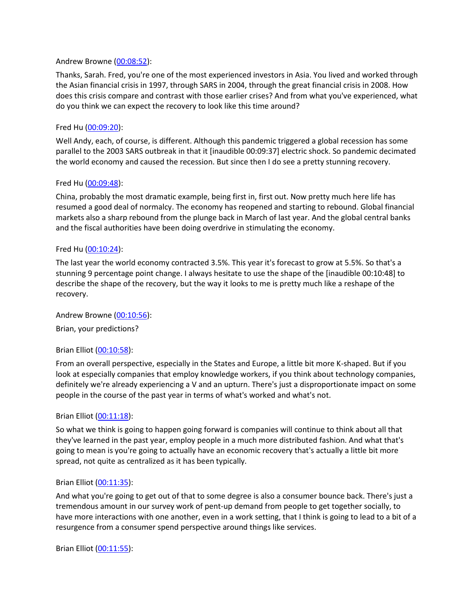### Andrew Browne [\(00:08:52\)](https://www.rev.com/transcript-editor/Edit?token=OOOyxbFo8mi1iO4A1WfINmTnpwJK2qfnn1xd-FrVjrzGkfVjDwIlVjGoQTnW3jrtDoYnpbOTK73OwC1SPlmc8mjuiAE&loadFrom=DocumentDeeplink&ts=532.63):

Thanks, Sarah. Fred, you're one of the most experienced investors in Asia. You lived and worked through the Asian financial crisis in 1997, through SARS in 2004, through the great financial crisis in 2008. How does this crisis compare and contrast with those earlier crises? And from what you've experienced, what do you think we can expect the recovery to look like this time around?

## Fred Hu [\(00:09:20\)](https://www.rev.com/transcript-editor/Edit?token=tM3CUsAAfbXv_JZMGKgvvXv5-AsryskB3CPWjjZ2hg6Oj29xf0QUQ2TnMtLG2IEkJzrQvtFtLODDiuj6Wehzxsr4pKU&loadFrom=DocumentDeeplink&ts=560.95):

Well Andy, each, of course, is different. Although this pandemic triggered a global recession has some parallel to the 2003 SARS outbreak in that it [inaudible 00:09:37] electric shock. So pandemic decimated the world economy and caused the recession. But since then I do see a pretty stunning recovery.

## Fred Hu [\(00:09:48\)](https://www.rev.com/transcript-editor/Edit?token=WSH632_g_hlSr9QTPCIAR4hWHEOK258nbsNbQdM-gKwe1SHi0vOdOeFwVHOB-ymT_swTldB9-NcszwZmpYBKFYjFnYw&loadFrom=DocumentDeeplink&ts=588.06):

China, probably the most dramatic example, being first in, first out. Now pretty much here life has resumed a good deal of normalcy. The economy has reopened and starting to rebound. Global financial markets also a sharp rebound from the plunge back in March of last year. And the global central banks and the fiscal authorities have been doing overdrive in stimulating the economy.

## Fred Hu [\(00:10:24\)](https://www.rev.com/transcript-editor/Edit?token=o8kPEcwU1L3BB18HeMF5yxBmd_LonY4tSoiN3JE74CWVVZX-NPQi3RzgH4wh-jXKYWUCbod1oCXwLeyZLTsuWMp6tww&loadFrom=DocumentDeeplink&ts=624.62):

The last year the world economy contracted 3.5%. This year it's forecast to grow at 5.5%. So that's a stunning 9 percentage point change. I always hesitate to use the shape of the [inaudible 00:10:48] to describe the shape of the recovery, but the way it looks to me is pretty much like a reshape of the recovery.

### Andrew Browne [\(00:10:56\)](https://www.rev.com/transcript-editor/Edit?token=lfLQGDbgxJE6JhTLDGbhGm8Ha36o4tbe4099m5oRrFeRvALl6P1r3vPdDhJDi3rtMBM3CUcyAZkfwGRJ_yib0BGjcro&loadFrom=DocumentDeeplink&ts=656.18):

Brian, your predictions?

# Brian Elliot [\(00:10:58\)](https://www.rev.com/transcript-editor/Edit?token=d5A4AG_OWr8EAAR1WRaQbCy7NSXUpcnnest18a5rGYbYnyaPNPnnowGJMpek-HqgiCw4eFqva_LRVL8rQJpdRhzsaHU&loadFrom=DocumentDeeplink&ts=658.67):

From an overall perspective, especially in the States and Europe, a little bit more K-shaped. But if you look at especially companies that employ knowledge workers, if you think about technology companies, definitely we're already experiencing a V and an upturn. There's just a disproportionate impact on some people in the course of the past year in terms of what's worked and what's not.

### Brian Elliot [\(00:11:18\)](https://www.rev.com/transcript-editor/Edit?token=MI-j7ZdtwDBZUVrR_qynRNig6qaiTZiHnr0E1gBRcywT6TAuNj_5ydFmEwIXaUmZQjtsk77etj1a19hK5VkoIvKBelo&loadFrom=DocumentDeeplink&ts=678.63):

So what we think is going to happen going forward is companies will continue to think about all that they've learned in the past year, employ people in a much more distributed fashion. And what that's going to mean is you're going to actually have an economic recovery that's actually a little bit more spread, not quite as centralized as it has been typically.

### Brian Elliot [\(00:11:35\)](https://www.rev.com/transcript-editor/Edit?token=O66s-DBDAgKo1HV8PwW12WfSZRKh8HOJOz1Ay6yL5C4levS7Sv18JsB9LNAI-G1-i-NUa2RtjRl2QKrZjPl5IiZeWOE&loadFrom=DocumentDeeplink&ts=695.34):

And what you're going to get out of that to some degree is also a consumer bounce back. There's just a tremendous amount in our survey work of pent-up demand from people to get together socially, to have more interactions with one another, even in a work setting, that I think is going to lead to a bit of a resurgence from a consumer spend perspective around things like services.

Brian Elliot [\(00:11:55\)](https://www.rev.com/transcript-editor/Edit?token=Bv6R7it0BZIBzh7e6wIFccjzlj6pq_9U3Fy6PxyXr7fPcht02aJbD1pHNet6IhU9g8Hdu5YHYWjEtAVPKERYB6StmpI&loadFrom=DocumentDeeplink&ts=715.58):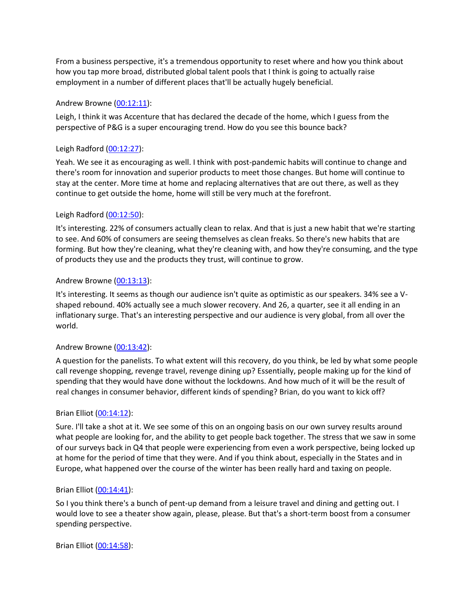From a business perspective, it's a tremendous opportunity to reset where and how you think about how you tap more broad, distributed global talent pools that I think is going to actually raise employment in a number of different places that'll be actually hugely beneficial.

# Andrew Browne [\(00:12:11\)](https://www.rev.com/transcript-editor/Edit?token=66U56vYGY0YkVXCCoXoEC8ftivbShTFBhI9nCgIkiRy_H3Zib7UHImVheMwIkmofvB9JeQG-k2aBMbHLMH1YWFX_1As&loadFrom=DocumentDeeplink&ts=731.9):

Leigh, I think it was Accenture that has declared the decade of the home, which I guess from the perspective of P&G is a super encouraging trend. How do you see this bounce back?

# Leigh Radford [\(00:12:27\)](https://www.rev.com/transcript-editor/Edit?token=d72JYsae7nPU_67lDyQ_bwF3l00i2Rfq8pLGgAYKSZPJLbYzhhsAsMwO7OD6bnOhiOvJhiiB-9OBGEe-hLtmhjqghGw&loadFrom=DocumentDeeplink&ts=747.14):

Yeah. We see it as encouraging as well. I think with post-pandemic habits will continue to change and there's room for innovation and superior products to meet those changes. But home will continue to stay at the center. More time at home and replacing alternatives that are out there, as well as they continue to get outside the home, home will still be very much at the forefront.

# Leigh Radford [\(00:12:50\)](https://www.rev.com/transcript-editor/Edit?token=9_pwbxGYGiuXMkCPn1DmhxYCwwRQXY9RZuUvVZjX2DQSoXfKu0G52mcFqsGl15Ai35uVsZF6foG-x0E5XXstWDrvCNU&loadFrom=DocumentDeeplink&ts=770.3):

It's interesting. 22% of consumers actually clean to relax. And that is just a new habit that we're starting to see. And 60% of consumers are seeing themselves as clean freaks. So there's new habits that are forming. But how they're cleaning, what they're cleaning with, and how they're consuming, and the type of products they use and the products they trust, will continue to grow.

# Andrew Browne [\(00:13:13\)](https://www.rev.com/transcript-editor/Edit?token=dDRAhD6G_D7362o1JlX9yZR8H35xP-rjn9lcDohMhdZSb78II_jIzMdbulKVj0KjErcTuLHa5ZjIoFjCLPVdI_hI-hs&loadFrom=DocumentDeeplink&ts=793.73):

It's interesting. It seems as though our audience isn't quite as optimistic as our speakers. 34% see a Vshaped rebound. 40% actually see a much slower recovery. And 26, a quarter, see it all ending in an inflationary surge. That's an interesting perspective and our audience is very global, from all over the world.

# Andrew Browne [\(00:13:42\)](https://www.rev.com/transcript-editor/Edit?token=vYutx5x4HkNmoA9MLwZUiXR9_gowj2PnUKKv8e_HHEdCTDCbD3qxw3mTx4yDletH54YTJh1IxEVgoGf-Pnapo_QdV7Q&loadFrom=DocumentDeeplink&ts=822.36):

A question for the panelists. To what extent will this recovery, do you think, be led by what some people call revenge shopping, revenge travel, revenge dining up? Essentially, people making up for the kind of spending that they would have done without the lockdowns. And how much of it will be the result of real changes in consumer behavior, different kinds of spending? Brian, do you want to kick off?

# Brian Elliot [\(00:14:12\)](https://www.rev.com/transcript-editor/Edit?token=i8BIeIBMpgOZan8YrpeGlqZYbU8p7JWtoGBY1Qhw2pMTOWJxOp3xN4-66vVb_2HmKiHFNNk7V4EKEgeWaJp8N_IGdC4&loadFrom=DocumentDeeplink&ts=852.97):

Sure. I'll take a shot at it. We see some of this on an ongoing basis on our own survey results around what people are looking for, and the ability to get people back together. The stress that we saw in some of our surveys back in Q4 that people were experiencing from even a work perspective, being locked up at home for the period of time that they were. And if you think about, especially in the States and in Europe, what happened over the course of the winter has been really hard and taxing on people.

# Brian Elliot [\(00:14:41\)](https://www.rev.com/transcript-editor/Edit?token=q7X8Hn0Hxp8AWTlcAzBZIK3o2CsUMGIqdiJqxP0I8_IaJvaO2ne1sC9MrfODh5zNdJBC0tRnH-z7Gnx8Ev408SvVR5o&loadFrom=DocumentDeeplink&ts=881.45):

So I you think there's a bunch of pent-up demand from a leisure travel and dining and getting out. I would love to see a theater show again, please, please. But that's a short-term boost from a consumer spending perspective.

Brian Elliot [\(00:14:58\)](https://www.rev.com/transcript-editor/Edit?token=rx9vd4RQX9ZJxtqhNAABPIjapZBDqgsUomtetgi4d3gsgu-0NVYbYJ-nl-Vt-ayh2G5357e85iXZ6eH_TKJjhryUfWY&loadFrom=DocumentDeeplink&ts=898.16):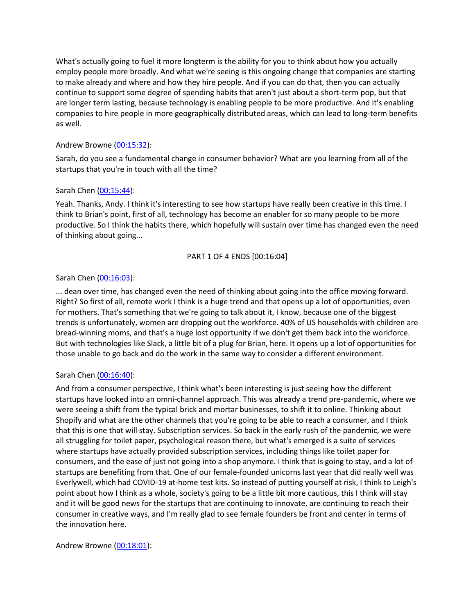What's actually going to fuel it more longterm is the ability for you to think about how you actually employ people more broadly. And what we're seeing is this ongoing change that companies are starting to make already and where and how they hire people. And if you can do that, then you can actually continue to support some degree of spending habits that aren't just about a short-term pop, but that are longer term lasting, because technology is enabling people to be more productive. And it's enabling companies to hire people in more geographically distributed areas, which can lead to long-term benefits as well.

# Andrew Browne [\(00:15:32\)](https://www.rev.com/transcript-editor/Edit?token=3pn2HHxxLWEwArBMxKnne7VqqT93Brbg8IQ_x4fnbt5FLfGMHRl6m1esKkWONhZjYH8A-O0xjhtPXkfhrhqBCphxaP8&loadFrom=DocumentDeeplink&ts=932.28):

Sarah, do you see a fundamental change in consumer behavior? What are you learning from all of the startups that you're in touch with all the time?

# Sarah Chen [\(00:15:44\)](https://www.rev.com/transcript-editor/Edit?token=0YXf-ha1XPHByO6-bF1ILdWkpNB9Ypap2YQYiTfFe4-nGMKAvAeoVu1bsj_3kshiskOEVaN323zkFLVzo3P62wUNPD4&loadFrom=DocumentDeeplink&ts=944.16):

Yeah. Thanks, Andy. I think it's interesting to see how startups have really been creative in this time. I think to Brian's point, first of all, technology has become an enabler for so many people to be more productive. So I think the habits there, which hopefully will sustain over time has changed even the need of thinking about going...

# PART 1 OF 4 ENDS [00:16:04]

# Sarah Chen [\(00:16:03\)](https://www.rev.com/transcript-editor/Edit?token=BkcRh9PkQYIfJF3QYHyotvmlWmvfnhSpsSX5ouq23BFdYhlewGHvOsosau3bFoeHu0ChA1Vkym_TZIU3dWi77T1GG5Q&loadFrom=DocumentDeeplink&ts=963.8):

... dean over time, has changed even the need of thinking about going into the office moving forward. Right? So first of all, remote work I think is a huge trend and that opens up a lot of opportunities, even for mothers. That's something that we're going to talk about it, I know, because one of the biggest trends is unfortunately, women are dropping out the workforce. 40% of US households with children are bread-winning moms, and that's a huge lost opportunity if we don't get them back into the workforce. But with technologies like Slack, a little bit of a plug for Brian, here. It opens up a lot of opportunities for those unable to go back and do the work in the same way to consider a different environment.

# Sarah Chen [\(00:16:40\)](https://www.rev.com/transcript-editor/Edit?token=COFIa9XNl1NWs4dGiN1659dKZxjXvxXym8m_7nqyuuoskSmqQ9ZnAyCc42KuEubXVV-jwcqrtDaNMoUwR9Pm5hSI-3c&loadFrom=DocumentDeeplink&ts=1000.01):

And from a consumer perspective, I think what's been interesting is just seeing how the different startups have looked into an omni-channel approach. This was already a trend pre-pandemic, where we were seeing a shift from the typical brick and mortar businesses, to shift it to online. Thinking about Shopify and what are the other channels that you're going to be able to reach a consumer, and I think that this is one that will stay. Subscription services. So back in the early rush of the pandemic, we were all struggling for toilet paper, psychological reason there, but what's emerged is a suite of services where startups have actually provided subscription services, including things like toilet paper for consumers, and the ease of just not going into a shop anymore. I think that is going to stay, and a lot of startups are benefiting from that. One of our female-founded unicorns last year that did really well was Everlywell, which had COVID-19 at-home test kits. So instead of putting yourself at risk, I think to Leigh's point about how I think as a whole, society's going to be a little bit more cautious, this I think will stay and it will be good news for the startups that are continuing to innovate, are continuing to reach their consumer in creative ways, and I'm really glad to see female founders be front and center in terms of the innovation here.

# Andrew Browne [\(00:18:01\)](https://www.rev.com/transcript-editor/Edit?token=RE-siiX5yXqCLoripwXyxkM7kEvxkgrgD9g6vcakd8okkbNDAfsTlX9aUmdj_ocrq84pmz_9D-I-IbOstzZwwdaeTbk&loadFrom=DocumentDeeplink&ts=1081.64):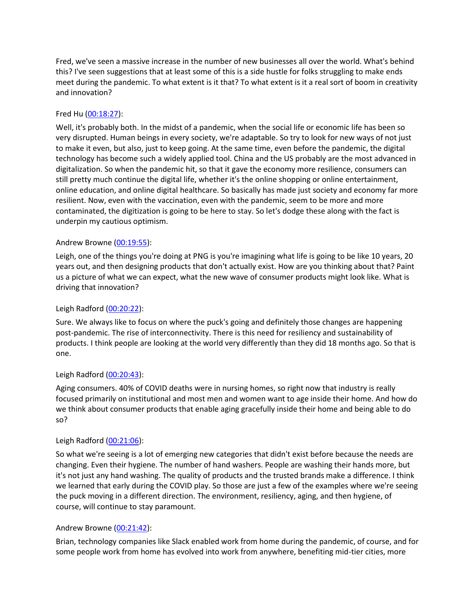Fred, we've seen a massive increase in the number of new businesses all over the world. What's behind this? I've seen suggestions that at least some of this is a side hustle for folks struggling to make ends meet during the pandemic. To what extent is it that? To what extent is it a real sort of boom in creativity and innovation?

# Fred Hu [\(00:18:27\)](https://www.rev.com/transcript-editor/Edit?token=4fj5eHrf6pC4GsrwVL4evjomQk6Uo44so6puNglLXNeKYkpUwdjYXhLvop_Ak0_XOdpo4dXkZ_-2UPlkFjVuC4qkObA&loadFrom=DocumentDeeplink&ts=1107.51):

Well, it's probably both. In the midst of a pandemic, when the social life or economic life has been so very disrupted. Human beings in every society, we're adaptable. So try to look for new ways of not just to make it even, but also, just to keep going. At the same time, even before the pandemic, the digital technology has become such a widely applied tool. China and the US probably are the most advanced in digitalization. So when the pandemic hit, so that it gave the economy more resilience, consumers can still pretty much continue the digital life, whether it's the online shopping or online entertainment, online education, and online digital healthcare. So basically has made just society and economy far more resilient. Now, even with the vaccination, even with the pandemic, seem to be more and more contaminated, the digitization is going to be here to stay. So let's dodge these along with the fact is underpin my cautious optimism.

# Andrew Browne [\(00:19:55\)](https://www.rev.com/transcript-editor/Edit?token=cAXG_FSrfijmr_mUBCAl_nM12TvR5w-ZteUu28t6Wh710SBqKE1mAuhJyzhcbMBIEbdpPzARcWG8ItmwrTgpgnp3wYc&loadFrom=DocumentDeeplink&ts=1195.9):

Leigh, one of the things you're doing at PNG is you're imagining what life is going to be like 10 years, 20 years out, and then designing products that don't actually exist. How are you thinking about that? Paint us a picture of what we can expect, what the new wave of consumer products might look like. What is driving that innovation?

# Leigh Radford [\(00:20:22\)](https://www.rev.com/transcript-editor/Edit?token=83pgl8Oc5TgF0YNBGKCXADrb8s7pGK-K-B9dtsSJspG4gqYKouPLRPbl8lTaiMHlEX1zVAEW4SABqmFi1si2iDsuKNQ&loadFrom=DocumentDeeplink&ts=1222.86):

Sure. We always like to focus on where the puck's going and definitely those changes are happening post-pandemic. The rise of interconnectivity. There is this need for resiliency and sustainability of products. I think people are looking at the world very differently than they did 18 months ago. So that is one.

# Leigh Radford [\(00:20:43\)](https://www.rev.com/transcript-editor/Edit?token=jciVSPqYAuj3-el2t0m-4MFP-IPZDx0jZtg9sLKMLZlxXuLaJH9QVeY_3Db4spff3nHGJjT3q-tR2CzhZL_HUdaUccM&loadFrom=DocumentDeeplink&ts=1243.55):

Aging consumers. 40% of COVID deaths were in nursing homes, so right now that industry is really focused primarily on institutional and most men and women want to age inside their home. And how do we think about consumer products that enable aging gracefully inside their home and being able to do so?

# Leigh Radford [\(00:21:06\)](https://www.rev.com/transcript-editor/Edit?token=CoimaU9AzV5nLoIB3e-0-JifDaMt0hyHNECvBCvW83_Tm4vG2QjMhIwubWUw_G3EZUauJ8txd7znwgT0-XhHElC8EKo&loadFrom=DocumentDeeplink&ts=1266.03):

So what we're seeing is a lot of emerging new categories that didn't exist before because the needs are changing. Even their hygiene. The number of hand washers. People are washing their hands more, but it's not just any hand washing. The quality of products and the trusted brands make a difference. I think we learned that early during the COVID play. So those are just a few of the examples where we're seeing the puck moving in a different direction. The environment, resiliency, aging, and then hygiene, of course, will continue to stay paramount.

# Andrew Browne [\(00:21:42\)](https://www.rev.com/transcript-editor/Edit?token=gc5h0wxoBZ-BjLzWtYi5Oz817FYzlAOsnC8o1SWE4JKCLYA1tYfKkyMU6WgjlHcLwBZ54BwyRAGCPwvt6siujHwANCg&loadFrom=DocumentDeeplink&ts=1302.48):

Brian, technology companies like Slack enabled work from home during the pandemic, of course, and for some people work from home has evolved into work from anywhere, benefiting mid-tier cities, more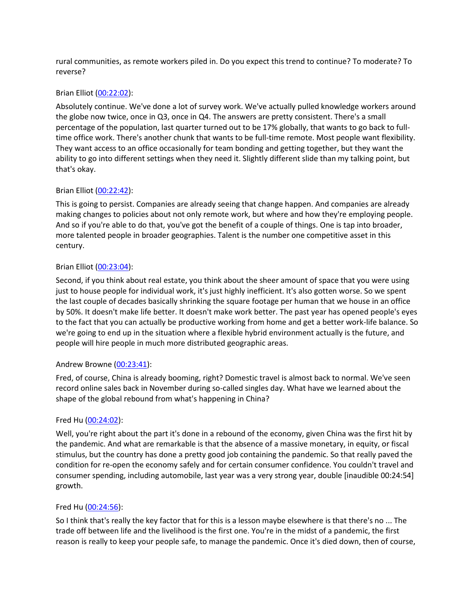rural communities, as remote workers piled in. Do you expect this trend to continue? To moderate? To reverse?

# Brian Elliot [\(00:22:02\)](https://www.rev.com/transcript-editor/Edit?token=wK-SI5DEPX9tkc3gVNUadPx-pTZ_dfzMQf5j7sKhHi3_UrlK_NVCtOgd8dhHnkVOcPenxLv7pEyrajdcQOwy6GmqUA0&loadFrom=DocumentDeeplink&ts=1322.27):

Absolutely continue. We've done a lot of survey work. We've actually pulled knowledge workers around the globe now twice, once in Q3, once in Q4. The answers are pretty consistent. There's a small percentage of the population, last quarter turned out to be 17% globally, that wants to go back to fulltime office work. There's another chunk that wants to be full-time remote. Most people want flexibility. They want access to an office occasionally for team bonding and getting together, but they want the ability to go into different settings when they need it. Slightly different slide than my talking point, but that's okay.

# Brian Elliot [\(00:22:42\)](https://www.rev.com/transcript-editor/Edit?token=dFhFZHRTjXW4YZN9bdg0dHdHH9Ltho-92PVlC2hM6I7jLC415QZeqDcsEMHDsg7US8UQx4iFVF3J4wa4VK8xX2tfNgQ&loadFrom=DocumentDeeplink&ts=1362.09):

This is going to persist. Companies are already seeing that change happen. And companies are already making changes to policies about not only remote work, but where and how they're employing people. And so if you're able to do that, you've got the benefit of a couple of things. One is tap into broader, more talented people in broader geographies. Talent is the number one competitive asset in this century.

# Brian Elliot [\(00:23:04\)](https://www.rev.com/transcript-editor/Edit?token=p2c5Izqdt9WRSqinCwyOJ8Fl7dHr1WWjlerfVCQM3UrW1gMIlOw0xS7pHXv7mCZ1QAm1kyjxiyHf1tc5UUPGbVI_OVw&loadFrom=DocumentDeeplink&ts=1384.15):

Second, if you think about real estate, you think about the sheer amount of space that you were using just to house people for individual work, it's just highly inefficient. It's also gotten worse. So we spent the last couple of decades basically shrinking the square footage per human that we house in an office by 50%. It doesn't make life better. It doesn't make work better. The past year has opened people's eyes to the fact that you can actually be productive working from home and get a better work-life balance. So we're going to end up in the situation where a flexible hybrid environment actually is the future, and people will hire people in much more distributed geographic areas.

# Andrew Browne [\(00:23:41\)](https://www.rev.com/transcript-editor/Edit?token=qRRhClhAyWdKV9RaZyEo6vOHQ3w_m3h4_W4GcwQs6OvIn2-aneL1lDPAf9E4sSb7q4-wiTAcQjQS8XQoGGOESERZS4U&loadFrom=DocumentDeeplink&ts=1421.48):

Fred, of course, China is already booming, right? Domestic travel is almost back to normal. We've seen record online sales back in November during so-called singles day. What have we learned about the shape of the global rebound from what's happening in China?

# Fred Hu [\(00:24:02\)](https://www.rev.com/transcript-editor/Edit?token=kj3xeRGG1dhLWJK4wPFe3j81qUjJ7KB5usxJ8M801lmv2ZHMjnMqJc5BDZHiH-dM8ylWi6plOzRTjwUH-Cvu29tEFaM&loadFrom=DocumentDeeplink&ts=1442.38):

Well, you're right about the part it's done in a rebound of the economy, given China was the first hit by the pandemic. And what are remarkable is that the absence of a massive monetary, in equity, or fiscal stimulus, but the country has done a pretty good job containing the pandemic. So that really paved the condition for re-open the economy safely and for certain consumer confidence. You couldn't travel and consumer spending, including automobile, last year was a very strong year, double [inaudible 00:24:54] growth.

# Fred Hu [\(00:24:56\)](https://www.rev.com/transcript-editor/Edit?token=WXt1NhgX9RwFcuPNyRU4bWEWWAG3ujBgWjCiHTgsLojoXJlySZj32rJhbaHJkGFu4uDTsXkelsEPlxlEJJMffHfmFsQ&loadFrom=DocumentDeeplink&ts=1496.34):

So I think that's really the key factor that for this is a lesson maybe elsewhere is that there's no ... The trade off between life and the livelihood is the first one. You're in the midst of a pandemic, the first reason is really to keep your people safe, to manage the pandemic. Once it's died down, then of course,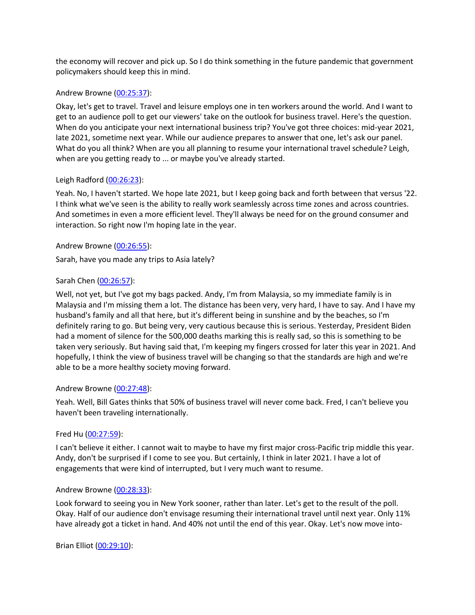the economy will recover and pick up. So I do think something in the future pandemic that government policymakers should keep this in mind.

## Andrew Browne [\(00:25:37\)](https://www.rev.com/transcript-editor/Edit?token=elxggF7RwqXNgRgOLClIJi20fegnwABnqT5x0j_LFLD3RGspLMUh_9OHDuv1os8dXDwXaooFBjHZ-gkjJ3gvOg0dKAk&loadFrom=DocumentDeeplink&ts=1537.15):

Okay, let's get to travel. Travel and leisure employs one in ten workers around the world. And I want to get to an audience poll to get our viewers' take on the outlook for business travel. Here's the question. When do you anticipate your next international business trip? You've got three choices: mid-year 2021, late 2021, sometime next year. While our audience prepares to answer that one, let's ask our panel. What do you all think? When are you all planning to resume your international travel schedule? Leigh, when are you getting ready to ... or maybe you've already started.

## Leigh Radford [\(00:26:23\)](https://www.rev.com/transcript-editor/Edit?token=ho_ygRFhrtzkLLt_0qrAAPbGE5QXNYsz4L-D1zEzu2kNv2keY4ZNu8Juzb9k3fsEh-P38AbucFPfEjPRtmo3Ls6c42c&loadFrom=DocumentDeeplink&ts=1583.96):

Yeah. No, I haven't started. We hope late 2021, but I keep going back and forth between that versus '22. I think what we've seen is the ability to really work seamlessly across time zones and across countries. And sometimes in even a more efficient level. They'll always be need for on the ground consumer and interaction. So right now I'm hoping late in the year.

# Andrew Browne [\(00:26:55\)](https://www.rev.com/transcript-editor/Edit?token=lA_4YNEajKInwDo5tGpx_vzAUXLlRTaNY0kGD80g_vANK_oGHVRVlvAHQ5FTWOtLLI1_LE0FUmVXKcW9D3oc-Sx-r3Q&loadFrom=DocumentDeeplink&ts=1615.16):

Sarah, have you made any trips to Asia lately?

## Sarah Chen [\(00:26:57\)](https://www.rev.com/transcript-editor/Edit?token=Vbhb-zPBatms-0t2SWqqA1T-htpuIvXkHH5KyQzT-GpCy3UySDkmyatp-jW5xCDJATHx3F6XIaMFFD41eTQs2HNLjOE&loadFrom=DocumentDeeplink&ts=1617.97):

Well, not yet, but I've got my bags packed. Andy, I'm from Malaysia, so my immediate family is in Malaysia and I'm missing them a lot. The distance has been very, very hard, I have to say. And I have my husband's family and all that here, but it's different being in sunshine and by the beaches, so I'm definitely raring to go. But being very, very cautious because this is serious. Yesterday, President Biden had a moment of silence for the 500,000 deaths marking this is really sad, so this is something to be taken very seriously. But having said that, I'm keeping my fingers crossed for later this year in 2021. And hopefully, I think the view of business travel will be changing so that the standards are high and we're able to be a more healthy society moving forward.

### Andrew Browne [\(00:27:48\)](https://www.rev.com/transcript-editor/Edit?token=KVC_XkH2A5sGBRxqikfjIBQwb2mOivBUdMsJSnRaoLKAU4zUTbX0LTLhxk5nbOrjhmczvXwZt3aHp2DwX6cMzsK8K5k&loadFrom=DocumentDeeplink&ts=1668.95):

Yeah. Well, Bill Gates thinks that 50% of business travel will never come back. Fred, I can't believe you haven't been traveling internationally.

### Fred Hu [\(00:27:59\)](https://www.rev.com/transcript-editor/Edit?token=FOnok3DYSXj_sySgc0KHkdY1ATDTQNAdHNEPdayzfHf0zA3q7e_oTkSBqnxobR5Stbpmf-ZXw_qx0Y445EAo-jF9HOs&loadFrom=DocumentDeeplink&ts=1679.78):

I can't believe it either. I cannot wait to maybe to have my first major cross-Pacific trip middle this year. Andy, don't be surprised if I come to see you. But certainly, I think in later 2021. I have a lot of engagements that were kind of interrupted, but I very much want to resume.

### Andrew Browne [\(00:28:33\)](https://www.rev.com/transcript-editor/Edit?token=fDItOAb75rSopWTWlcADT1eT5gPnmK4vt1WzSHsjLnSLmpJzxZzhADFjxx9eMse-onjoKxtvOTfGPQd7F4O1CYeWRvo&loadFrom=DocumentDeeplink&ts=1713.47):

Look forward to seeing you in New York sooner, rather than later. Let's get to the result of the poll. Okay. Half of our audience don't envisage resuming their international travel until next year. Only 11% have already got a ticket in hand. And 40% not until the end of this year. Okay. Let's now move into-

Brian Elliot [\(00:29:10\)](https://www.rev.com/transcript-editor/Edit?token=ewLz5RRdtA6SYme8n07rZ7Gz2RXyyDbvo6QA3GKqLPeXWH-n1HR2372q4Uo2_0eVC6t8UO5hZ90MCKZDwOptXLF0_ao&loadFrom=DocumentDeeplink&ts=1750.69):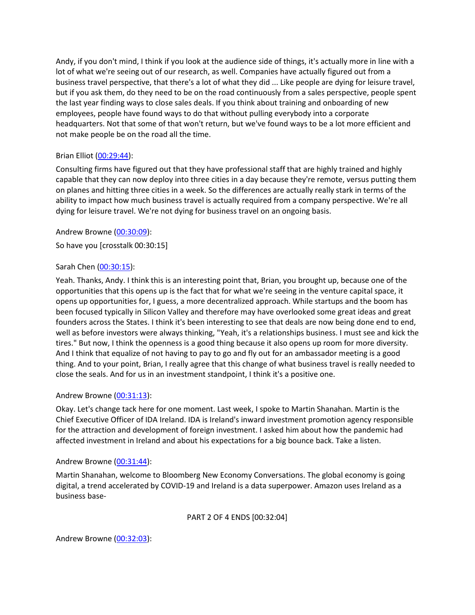Andy, if you don't mind, I think if you look at the audience side of things, it's actually more in line with a lot of what we're seeing out of our research, as well. Companies have actually figured out from a business travel perspective, that there's a lot of what they did ... Like people are dying for leisure travel, but if you ask them, do they need to be on the road continuously from a sales perspective, people spent the last year finding ways to close sales deals. If you think about training and onboarding of new employees, people have found ways to do that without pulling everybody into a corporate headquarters. Not that some of that won't return, but we've found ways to be a lot more efficient and not make people be on the road all the time.

# Brian Elliot [\(00:29:44\)](https://www.rev.com/transcript-editor/Edit?token=0EppGXrmAZrjNcgbqHenACK5oouwdJlo0fwQ9GaEboSFyblKZZncqcboZiHwKPo7l_JUJzmMBZW_8tzeRbI4vtQjsCM&loadFrom=DocumentDeeplink&ts=1784.48):

Consulting firms have figured out that they have professional staff that are highly trained and highly capable that they can now deploy into three cities in a day because they're remote, versus putting them on planes and hitting three cities in a week. So the differences are actually really stark in terms of the ability to impact how much business travel is actually required from a company perspective. We're all dying for leisure travel. We're not dying for business travel on an ongoing basis.

Andrew Browne [\(00:30:09\)](https://www.rev.com/transcript-editor/Edit?token=H9QdNkgpr3CqGWkwPTqUTRSjE51AtgtoGnl9Ydg7KxY3rKQzO9A3Hz9jUbLGyHwUzg5sZvxxsNr6q-iOImWNkA8DMDk&loadFrom=DocumentDeeplink&ts=1809.77):

So have you [crosstalk 00:30:15]

# Sarah Chen [\(00:30:15\)](https://www.rev.com/transcript-editor/Edit?token=VoWlwPxLbcSN_E-32cKAN6J_KLeLWzZxdQ6QEcLkqwzPUDpWgqMFgJv15Epu5IhCn72M9-ZzLu2iGjdvuhBpACy1p5k&loadFrom=DocumentDeeplink&ts=1815.97):

Yeah. Thanks, Andy. I think this is an interesting point that, Brian, you brought up, because one of the opportunities that this opens up is the fact that for what we're seeing in the venture capital space, it opens up opportunities for, I guess, a more decentralized approach. While startups and the boom has been focused typically in Silicon Valley and therefore may have overlooked some great ideas and great founders across the States. I think it's been interesting to see that deals are now being done end to end, well as before investors were always thinking, "Yeah, it's a relationships business. I must see and kick the tires." But now, I think the openness is a good thing because it also opens up room for more diversity. And I think that equalize of not having to pay to go and fly out for an ambassador meeting is a good thing. And to your point, Brian, I really agree that this change of what business travel is really needed to close the seals. And for us in an investment standpoint, I think it's a positive one.

# Andrew Browne [\(00:31:13\)](https://www.rev.com/transcript-editor/Edit?token=ACluB4S01OKFOVvRKkY-bix7-RUPoNE1aqF--Xw6RpYrrScw8XkGCqL09Tfgq8vpddqqo6oHkCMj9FlSTWD0TFuBQx0&loadFrom=DocumentDeeplink&ts=1873.8):

Okay. Let's change tack here for one moment. Last week, I spoke to Martin Shanahan. Martin is the Chief Executive Officer of IDA Ireland. IDA is Ireland's inward investment promotion agency responsible for the attraction and development of foreign investment. I asked him about how the pandemic had affected investment in Ireland and about his expectations for a big bounce back. Take a listen.

# Andrew Browne [\(00:31:44\)](https://www.rev.com/transcript-editor/Edit?token=I1k0sR1S-wHOjuU4Wfo7pR5bj_O-LaXtZft7enEc6Rrqjs4LUQiUXKTFGEYTww27KZYxPJ44v9VT8HgbVkEetRyz7m0&loadFrom=DocumentDeeplink&ts=1904.71):

Martin Shanahan, welcome to Bloomberg New Economy Conversations. The global economy is going digital, a trend accelerated by COVID-19 and Ireland is a data superpower. Amazon uses Ireland as a business base-

# PART 2 OF 4 ENDS [00:32:04]

# Andrew Browne [\(00:32:03\)](https://www.rev.com/transcript-editor/Edit?token=8JBM2RBXnJ3Drmaa6YCy-jhUUgyA5BUoUX-GVppLwqzXsgyPm-mXufm4s7zZCHtImPMqLj--8WWSEsDyKInL_w9SN6k&loadFrom=DocumentDeeplink&ts=1923.651):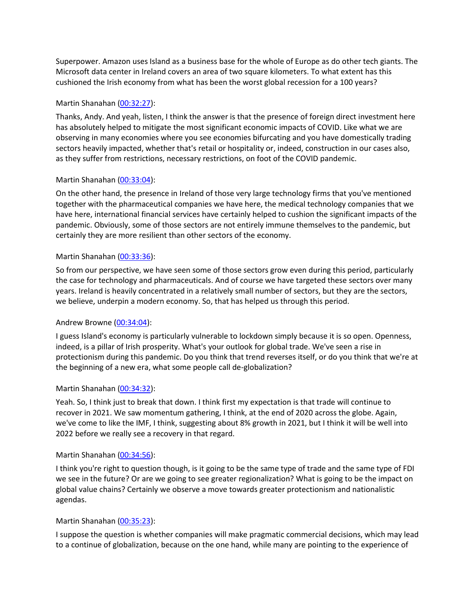Superpower. Amazon uses Island as a business base for the whole of Europe as do other tech giants. The Microsoft data center in Ireland covers an area of two square kilometers. To what extent has this cushioned the Irish economy from what has been the worst global recession for a 100 years?

# Martin Shanahan [\(00:32:27\)](https://www.rev.com/transcript-editor/Edit?token=OMkPZTRearcfcWPIBLQ_nVr7jKyMnzD_OvPSDSlDPcS_pLX3elnlJdsMEWkI8EMCUzPrIioZrmwwmm-80_DN0h9-iO0&loadFrom=DocumentDeeplink&ts=1947.02):

Thanks, Andy. And yeah, listen, I think the answer is that the presence of foreign direct investment here has absolutely helped to mitigate the most significant economic impacts of COVID. Like what we are observing in many economies where you see economies bifurcating and you have domestically trading sectors heavily impacted, whether that's retail or hospitality or, indeed, construction in our cases also, as they suffer from restrictions, necessary restrictions, on foot of the COVID pandemic.

# Martin Shanahan [\(00:33:04\)](https://www.rev.com/transcript-editor/Edit?token=gqhSKy7wmTp6vwTKC85B2TbS2YLaNaXzdd6kszxyIsKL057zrWH3zsseSxueqp8SIAvsST0PGZ1cH53EE03TdRVVYtA&loadFrom=DocumentDeeplink&ts=1984.28):

On the other hand, the presence in Ireland of those very large technology firms that you've mentioned together with the pharmaceutical companies we have here, the medical technology companies that we have here, international financial services have certainly helped to cushion the significant impacts of the pandemic. Obviously, some of those sectors are not entirely immune themselves to the pandemic, but certainly they are more resilient than other sectors of the economy.

# Martin Shanahan [\(00:33:36\)](https://www.rev.com/transcript-editor/Edit?token=C2NkTgZlk0-6lFAk6FcaoXsaKbUlabQT_htwCp0vh3-u8imdnI7lE8iHAvJ8vzMPmvDRcLKequZwE9K-sFhefz6bLBs&loadFrom=DocumentDeeplink&ts=2016.81):

So from our perspective, we have seen some of those sectors grow even during this period, particularly the case for technology and pharmaceuticals. And of course we have targeted these sectors over many years. Ireland is heavily concentrated in a relatively small number of sectors, but they are the sectors, we believe, underpin a modern economy. So, that has helped us through this period.

# Andrew Browne [\(00:34:04\)](https://www.rev.com/transcript-editor/Edit?token=TlJFypM2b8lZc_1TqOYO0Ye9DHe2M_NN6RWfPgvuLoJ9Q-mlXDuZpXQhKoTinlYrh72UB2E0pbz2ZBUVh-9r8FHyymA&loadFrom=DocumentDeeplink&ts=2044.69):

I guess Island's economy is particularly vulnerable to lockdown simply because it is so open. Openness, indeed, is a pillar of Irish prosperity. What's your outlook for global trade. We've seen a rise in protectionism during this pandemic. Do you think that trend reverses itself, or do you think that we're at the beginning of a new era, what some people call de-globalization?

# Martin Shanahan [\(00:34:32\)](https://www.rev.com/transcript-editor/Edit?token=wr90UFVivA-5iprLIf5PAbyCEnDczRY43WC52h49oVuiQxgiJUO56eynTq_S1nH1J6UOayVvD0RtHr5U-QkkGKN3yLo&loadFrom=DocumentDeeplink&ts=2072.15):

Yeah. So, I think just to break that down. I think first my expectation is that trade will continue to recover in 2021. We saw momentum gathering, I think, at the end of 2020 across the globe. Again, we've come to like the IMF, I think, suggesting about 8% growth in 2021, but I think it will be well into 2022 before we really see a recovery in that regard.

# Martin Shanahan [\(00:34:56\)](https://www.rev.com/transcript-editor/Edit?token=TpNaCVgwYulbNb5g6L02wPQUqN_JtUUbDx0VHqAeosDCF06aXzXJ_lWvqp7xZd_xCSj2Re4j_8G6ro_SIV1hFxUrmDI&loadFrom=DocumentDeeplink&ts=2096.91):

I think you're right to question though, is it going to be the same type of trade and the same type of FDI we see in the future? Or are we going to see greater regionalization? What is going to be the impact on global value chains? Certainly we observe a move towards greater protectionism and nationalistic agendas.

# Martin Shanahan [\(00:35:23\)](https://www.rev.com/transcript-editor/Edit?token=SN-del3q0yZwgO5S3A7iAdYUqZJvIJibe1ZoduFeKQjsPjP8G8OplABvb_ET-1aXCCkaAvvg_7Axw2XRSINO20W9w94&loadFrom=DocumentDeeplink&ts=2123.63):

I suppose the question is whether companies will make pragmatic commercial decisions, which may lead to a continue of globalization, because on the one hand, while many are pointing to the experience of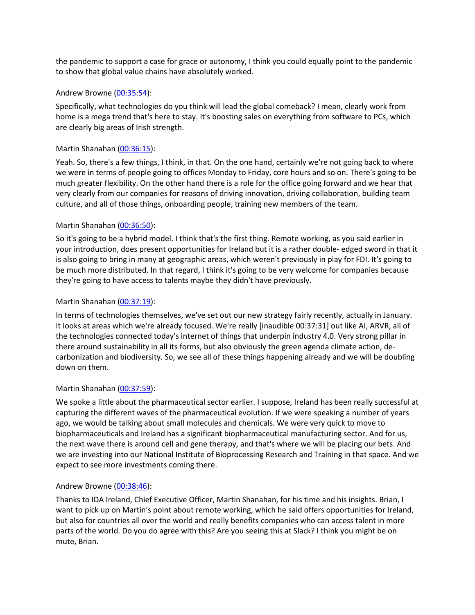the pandemic to support a case for grace or autonomy, I think you could equally point to the pandemic to show that global value chains have absolutely worked.

# Andrew Browne [\(00:35:54\)](https://www.rev.com/transcript-editor/Edit?token=jSb_6XPrCy55B_TwBrmTDW3RrNuIbM0oVIOY1DIc7ktBhW5aPowWIo0BNZJCvXH19gYYfC9ZOuVmZWw2rECPHP4bdjY&loadFrom=DocumentDeeplink&ts=2154.32):

Specifically, what technologies do you think will lead the global comeback? I mean, clearly work from home is a mega trend that's here to stay. It's boosting sales on everything from software to PCs, which are clearly big areas of Irish strength.

# Martin Shanahan [\(00:36:15\)](https://www.rev.com/transcript-editor/Edit?token=6_B0kKp168WqaUMgIUPYHEcJOqATcAcMxUUaF5bykVbvGVpbqytgCV7TUWwvha_BUtl3CKUMDtINa0-w9dQmF75GYmo&loadFrom=DocumentDeeplink&ts=2175.41):

Yeah. So, there's a few things, I think, in that. On the one hand, certainly we're not going back to where we were in terms of people going to offices Monday to Friday, core hours and so on. There's going to be much greater flexibility. On the other hand there is a role for the office going forward and we hear that very clearly from our companies for reasons of driving innovation, driving collaboration, building team culture, and all of those things, onboarding people, training new members of the team.

# Martin Shanahan [\(00:36:50\)](https://www.rev.com/transcript-editor/Edit?token=q45iHZ-xb063NY2F3IncY1vpRWHZf77U_D94euwExF-vs4ajURQ7K8rAUDrZj_8ZtNfJZ6YZL8ExPBrOGk_2l6dZOX8&loadFrom=DocumentDeeplink&ts=2210.42):

So it's going to be a hybrid model. I think that's the first thing. Remote working, as you said earlier in your introduction, does present opportunities for Ireland but it is a rather double- edged sword in that it is also going to bring in many at geographic areas, which weren't previously in play for FDI. It's going to be much more distributed. In that regard, I think it's going to be very welcome for companies because they're going to have access to talents maybe they didn't have previously.

# Martin Shanahan [\(00:37:19\)](https://www.rev.com/transcript-editor/Edit?token=bBGQKaca1MM5lo8eZ2zISlvWxv8Gd8gWO7qvr31pi2QDpw_IIhUHmC2RzXIN1XNcocNAS31F1Usb0l_JBUmtdSueuVg&loadFrom=DocumentDeeplink&ts=2239.55):

In terms of technologies themselves, we've set out our new strategy fairly recently, actually in January. It looks at areas which we're already focused. We're really [inaudible 00:37:31] out like AI, ARVR, all of the technologies connected today's internet of things that underpin industry 4.0. Very strong pillar in there around sustainability in all its forms, but also obviously the green agenda climate action, decarbonization and biodiversity. So, we see all of these things happening already and we will be doubling down on them.

# Martin Shanahan [\(00:37:59\)](https://www.rev.com/transcript-editor/Edit?token=EhtZzrWimCQLdBovnj7OU2LKa2QduPL6DUO4jpHhoiEDh8ydhlkndVEiKqAUWI9_ClQVeySsn-KXiv1l5pfTS88cFJs&loadFrom=DocumentDeeplink&ts=2279.28):

We spoke a little about the pharmaceutical sector earlier. I suppose, Ireland has been really successful at capturing the different waves of the pharmaceutical evolution. If we were speaking a number of years ago, we would be talking about small molecules and chemicals. We were very quick to move to biopharmaceuticals and Ireland has a significant biopharmaceutical manufacturing sector. And for us, the next wave there is around cell and gene therapy, and that's where we will be placing our bets. And we are investing into our National Institute of Bioprocessing Research and Training in that space. And we expect to see more investments coming there.

# Andrew Browne [\(00:38:46\)](https://www.rev.com/transcript-editor/Edit?token=fKkl6eM4EG4mdnrcGCU7GxBjAm_TcRdgauIvlHjoLQVNy1UiGwatMost1uhoQssdSZ4-cS8Nqg7JhEoCFJhSQXBWOD4&loadFrom=DocumentDeeplink&ts=2326.78):

Thanks to IDA Ireland, Chief Executive Officer, Martin Shanahan, for his time and his insights. Brian, I want to pick up on Martin's point about remote working, which he said offers opportunities for Ireland, but also for countries all over the world and really benefits companies who can access talent in more parts of the world. Do you do agree with this? Are you seeing this at Slack? I think you might be on mute, Brian.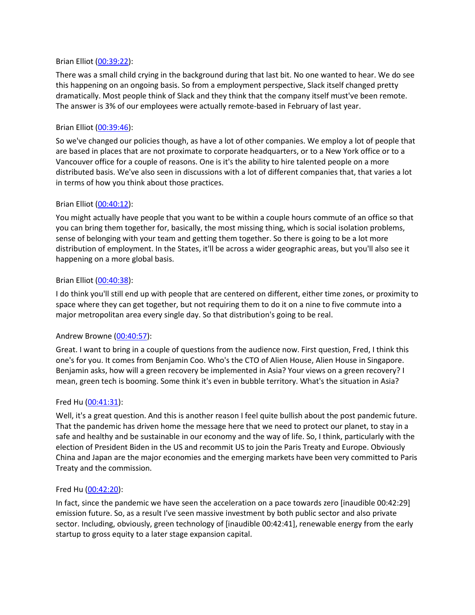## Brian Elliot [\(00:39:22\)](https://www.rev.com/transcript-editor/Edit?token=AaXl6AiexnXVeZEG_iUFjj3De1f5IwooKDsyNgQlaToSmnuRNm4gvISDe_4AYiZ3IjxQ7uf1LZW4CqsfCVwFAtKj0Hs&loadFrom=DocumentDeeplink&ts=2362.27):

There was a small child crying in the background during that last bit. No one wanted to hear. We do see this happening on an ongoing basis. So from a employment perspective, Slack itself changed pretty dramatically. Most people think of Slack and they think that the company itself must've been remote. The answer is 3% of our employees were actually remote-based in February of last year.

# Brian Elliot [\(00:39:46\)](https://www.rev.com/transcript-editor/Edit?token=eQanWAYEbMhsoC0uIYkFRXNxMit1scsEtlJGcvqbm34cJshUodUb9BOLGvsztd5SNA7CGcxjRkGJQ4wH87aPSZb5z6s&loadFrom=DocumentDeeplink&ts=2386.12):

So we've changed our policies though, as have a lot of other companies. We employ a lot of people that are based in places that are not proximate to corporate headquarters, or to a New York office or to a Vancouver office for a couple of reasons. One is it's the ability to hire talented people on a more distributed basis. We've also seen in discussions with a lot of different companies that, that varies a lot in terms of how you think about those practices.

## Brian Elliot [\(00:40:12\)](https://www.rev.com/transcript-editor/Edit?token=XfFr5P1los5xtXiZziFjP04_dpa85AbzOOTEbnhi52RlKiwzrVKaRYjZqKF6THgfKyDDuUWWGnyIKqMhGh1FzuPX8Ug&loadFrom=DocumentDeeplink&ts=2412.41):

You might actually have people that you want to be within a couple hours commute of an office so that you can bring them together for, basically, the most missing thing, which is social isolation problems, sense of belonging with your team and getting them together. So there is going to be a lot more distribution of employment. In the States, it'll be across a wider geographic areas, but you'll also see it happening on a more global basis.

## Brian Elliot [\(00:40:38\)](https://www.rev.com/transcript-editor/Edit?token=PzQTUWY9b1MKLHujBNr6UPhN4vYgzgsXsVc7_Xu-j--lzzH5f1xb__YIKcBsqjWBsGJLT15QLD-VpaPHrH-evpdiaa0&loadFrom=DocumentDeeplink&ts=2438.17):

I do think you'll still end up with people that are centered on different, either time zones, or proximity to space where they can get together, but not requiring them to do it on a nine to five commute into a major metropolitan area every single day. So that distribution's going to be real.

# Andrew Browne [\(00:40:57\)](https://www.rev.com/transcript-editor/Edit?token=it4d9Ue6shmsfzuKh8vXb0opYI9y-hyzGmviISCt2EBYWQeUfLfnLrDfWfRKoSG5_G0ctMk9VNkYcZPP7yEt2i8IT5A&loadFrom=DocumentDeeplink&ts=2457.16):

Great. I want to bring in a couple of questions from the audience now. First question, Fred, I think this one's for you. It comes from Benjamin Coo. Who's the CTO of Alien House, Alien House in Singapore. Benjamin asks, how will a green recovery be implemented in Asia? Your views on a green recovery? I mean, green tech is booming. Some think it's even in bubble territory. What's the situation in Asia?

### Fred Hu [\(00:41:31\)](https://www.rev.com/transcript-editor/Edit?token=7AYVuwPbeaU2NVsx9emseO-nQPXCXvERtEKKyUHLVfVZ5AWsmUBKm3HWD9-c9nH_F_hGivkIWJermgVB76fjhCXgXQ8&loadFrom=DocumentDeeplink&ts=2491.32):

Well, it's a great question. And this is another reason I feel quite bullish about the post pandemic future. That the pandemic has driven home the message here that we need to protect our planet, to stay in a safe and healthy and be sustainable in our economy and the way of life. So, I think, particularly with the election of President Biden in the US and recommit US to join the Paris Treaty and Europe. Obviously China and Japan are the major economies and the emerging markets have been very committed to Paris Treaty and the commission.

### Fred Hu [\(00:42:20\)](https://www.rev.com/transcript-editor/Edit?token=R0yB2ZftaF-znvewIQtoBE32OukgiNMOiXyDqmeHM6pELqMlKcv-kQ9WwAkS596Mi8JeaCheBQVbCiQXKDqsKyRofYE&loadFrom=DocumentDeeplink&ts=2540.21):

In fact, since the pandemic we have seen the acceleration on a pace towards zero [inaudible 00:42:29] emission future. So, as a result I've seen massive investment by both public sector and also private sector. Including, obviously, green technology of [inaudible 00:42:41], renewable energy from the early startup to gross equity to a later stage expansion capital.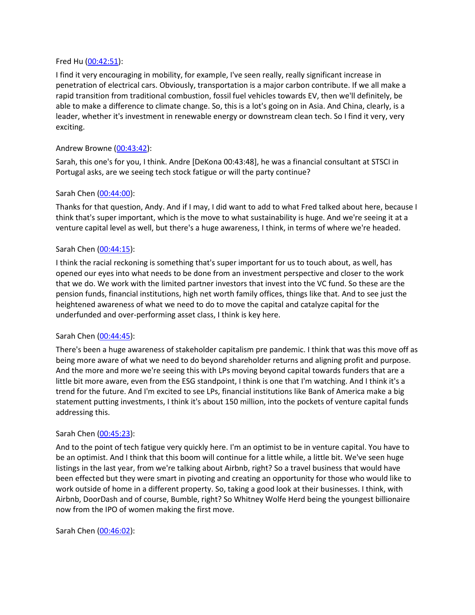### Fred Hu [\(00:42:51\)](https://www.rev.com/transcript-editor/Edit?token=rWzvMN_qC92p8-XwEESWi7TI1vxtwy0mRqCLZr9sjvKO8yEiyvZtx_A2PjC1gaqSJxHWW3jqAavdeWUUKDWmp0oBLzc&loadFrom=DocumentDeeplink&ts=2571.21):

I find it very encouraging in mobility, for example, I've seen really, really significant increase in penetration of electrical cars. Obviously, transportation is a major carbon contribute. If we all make a rapid transition from traditional combustion, fossil fuel vehicles towards EV, then we'll definitely, be able to make a difference to climate change. So, this is a lot's going on in Asia. And China, clearly, is a leader, whether it's investment in renewable energy or downstream clean tech. So I find it very, very exciting.

# Andrew Browne [\(00:43:42\)](https://www.rev.com/transcript-editor/Edit?token=PC5t9CFucXNgOIl-UeYKArYRCndpdtvN9MHQVQ4cSCvYXbrMBfwAz9lmpisQvk6cnQQQzT0e98eRUz5yvChWAmr_AL4&loadFrom=DocumentDeeplink&ts=2622.26):

Sarah, this one's for you, I think. Andre [DeKona 00:43:48], he was a financial consultant at STSCI in Portugal asks, are we seeing tech stock fatigue or will the party continue?

## Sarah Chen [\(00:44:00\)](https://www.rev.com/transcript-editor/Edit?token=G2L8LHinz5-0TbX5ZCF9zyIq8HPpUOsDKcimkrt14WFhP5V1lwBcrYefSXFJCT5EvBtUOSylZqGMH8ezodcPvyVSD7s&loadFrom=DocumentDeeplink&ts=2640.22):

Thanks for that question, Andy. And if I may, I did want to add to what Fred talked about here, because I think that's super important, which is the move to what sustainability is huge. And we're seeing it at a venture capital level as well, but there's a huge awareness, I think, in terms of where we're headed.

## Sarah Chen [\(00:44:15\)](https://www.rev.com/transcript-editor/Edit?token=eldaf2XNJ6_mik2NwhnLVX-C2IgmhNV2jvPC3qhKqRvEzMCilyVUE2nO4ENnSEvKQeAAW6Kje8RTCRZO4VBzSM1O5wg&loadFrom=DocumentDeeplink&ts=2655.79):

I think the racial reckoning is something that's super important for us to touch about, as well, has opened our eyes into what needs to be done from an investment perspective and closer to the work that we do. We work with the limited partner investors that invest into the VC fund. So these are the pension funds, financial institutions, high net worth family offices, things like that. And to see just the heightened awareness of what we need to do to move the capital and catalyze capital for the underfunded and over-performing asset class, I think is key here.

### Sarah Chen [\(00:44:45\)](https://www.rev.com/transcript-editor/Edit?token=mFNik6PwZJKbF-zpEwMDk8_4cpZeH1tyDJ8btzI6HqaLmkA6Wyz-KF6fwCtS7TBXqoK0vbrKq2osS800NcOyRNWApLo&loadFrom=DocumentDeeplink&ts=2685.31):

There's been a huge awareness of stakeholder capitalism pre pandemic. I think that was this move off as being more aware of what we need to do beyond shareholder returns and aligning profit and purpose. And the more and more we're seeing this with LPs moving beyond capital towards funders that are a little bit more aware, even from the ESG standpoint, I think is one that I'm watching. And I think it's a trend for the future. And I'm excited to see LPs, financial institutions like Bank of America make a big statement putting investments, I think it's about 150 million, into the pockets of venture capital funds addressing this.

### Sarah Chen [\(00:45:23\)](https://www.rev.com/transcript-editor/Edit?token=BL_PLHJj5tJN79CHmUexOTNgkYp4JlscGhJrnb30W8KsusJYxUF-VKebg5mEfN42dZ4PdXptqUJgK0yU7qw63gSx9A8&loadFrom=DocumentDeeplink&ts=2723.06):

And to the point of tech fatigue very quickly here. I'm an optimist to be in venture capital. You have to be an optimist. And I think that this boom will continue for a little while, a little bit. We've seen huge listings in the last year, from we're talking about Airbnb, right? So a travel business that would have been effected but they were smart in pivoting and creating an opportunity for those who would like to work outside of home in a different property. So, taking a good look at their businesses. I think, with Airbnb, DoorDash and of course, Bumble, right? So Whitney Wolfe Herd being the youngest billionaire now from the IPO of women making the first move.

Sarah Chen [\(00:46:02\)](https://www.rev.com/transcript-editor/Edit?token=qjkzLXBybglZFUEtmNhgryn7fR1-bT85bP9Spx_X2JHyuHlDD5TfFKJgD0OZnTDJE7dOusyEKKR9BXFfHPk8FZs1BC4&loadFrom=DocumentDeeplink&ts=2762.43):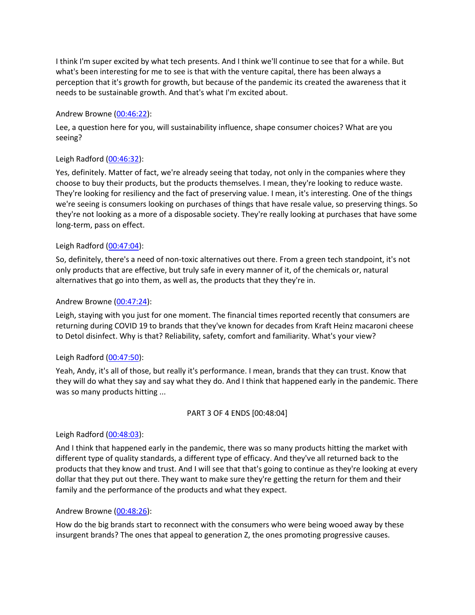I think I'm super excited by what tech presents. And I think we'll continue to see that for a while. But what's been interesting for me to see is that with the venture capital, there has been always a perception that it's growth for growth, but because of the pandemic its created the awareness that it needs to be sustainable growth. And that's what I'm excited about.

# Andrew Browne [\(00:46:22\)](https://www.rev.com/transcript-editor/Edit?token=-uVZWcCKdhh2IAavkOObhOZGI_y0uCvHF2qV40CgIvrOyGCUbXnW_obk7YmwH24Vdn0H-f-33C6R_k_jnn2-EulnIPw&loadFrom=DocumentDeeplink&ts=2782.06):

Lee, a question here for you, will sustainability influence, shape consumer choices? What are you seeing?

# Leigh Radford [\(00:46:32\)](https://www.rev.com/transcript-editor/Edit?token=Bzb_UwtiasKigsTpZsPgmZMG6FXOKvI4V4mJIuYriwaKUfmDLeAYKFA3TDuunaBazReUsdCo3rLaPRTzK_6uyTCtj2U&loadFrom=DocumentDeeplink&ts=2792.41):

Yes, definitely. Matter of fact, we're already seeing that today, not only in the companies where they choose to buy their products, but the products themselves. I mean, they're looking to reduce waste. They're looking for resiliency and the fact of preserving value. I mean, it's interesting. One of the things we're seeing is consumers looking on purchases of things that have resale value, so preserving things. So they're not looking as a more of a disposable society. They're really looking at purchases that have some long-term, pass on effect.

# Leigh Radford [\(00:47:04\)](https://www.rev.com/transcript-editor/Edit?token=0vO9fTsreo5FOmphU19q1FpXmOkTBJwOGoL-M6pfMe2H3KbJjRWZPlndE18AO4zdcEn7XsKhw4RT6tS7AK8XY9p34P8&loadFrom=DocumentDeeplink&ts=2824.73):

So, definitely, there's a need of non-toxic alternatives out there. From a green tech standpoint, it's not only products that are effective, but truly safe in every manner of it, of the chemicals or, natural alternatives that go into them, as well as, the products that they they're in.

# Andrew Browne [\(00:47:24\)](https://www.rev.com/transcript-editor/Edit?token=873RpZtvj6FK6ZZpWypyCNNUeKbZ07zr6DC57YDCDWAWPJrU1dHTKR7YvhpwsJnkSPHZIq5IV_3ro6vWASnSOkn2chk&loadFrom=DocumentDeeplink&ts=2844.47):

Leigh, staying with you just for one moment. The financial times reported recently that consumers are returning during COVID 19 to brands that they've known for decades from Kraft Heinz macaroni cheese to Detol disinfect. Why is that? Reliability, safety, comfort and familiarity. What's your view?

# Leigh Radford [\(00:47:50\)](https://www.rev.com/transcript-editor/Edit?token=nKjrA4YiqJJAiw9sqOOghoYsddgx2noudgwW7nqXZO2N2N07NXdHBg3anFXmMJnKOuW1u6qhFGkqHUnW2mj7zWo-WtI&loadFrom=DocumentDeeplink&ts=2870.07):

Yeah, Andy, it's all of those, but really it's performance. I mean, brands that they can trust. Know that they will do what they say and say what they do. And I think that happened early in the pandemic. There was so many products hitting ...

# PART 3 OF 4 ENDS [00:48:04]

# Leigh Radford [\(00:48:03\)](https://www.rev.com/transcript-editor/Edit?token=64MWQN63LonDKM8ONqXdqaoa9j-fAXQ0p-pl_T5xMdA7wOewUygU_QBMqliehQLH1R8kjokV82hEtS9b671HgUr7NUg&loadFrom=DocumentDeeplink&ts=2883.8):

And I think that happened early in the pandemic, there was so many products hitting the market with different type of quality standards, a different type of efficacy. And they've all returned back to the products that they know and trust. And I will see that that's going to continue as they're looking at every dollar that they put out there. They want to make sure they're getting the return for them and their family and the performance of the products and what they expect.

# Andrew Browne [\(00:48:26\)](https://www.rev.com/transcript-editor/Edit?token=ipBXaWu5oXgeoMcdMYk7I8Im7Et92BKenmCbIHevrFuKKtlmAJ8si48pJvEp0C6eoyhcoOJRCnlTGfsC9080QKDJw1U&loadFrom=DocumentDeeplink&ts=2906.93):

How do the big brands start to reconnect with the consumers who were being wooed away by these insurgent brands? The ones that appeal to generation Z, the ones promoting progressive causes.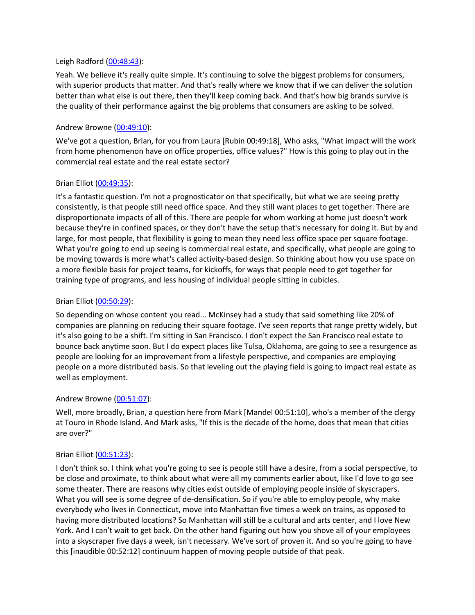## Leigh Radford [\(00:48:43\)](https://www.rev.com/transcript-editor/Edit?token=oS5KlYAu7eKusdr--k_qig_-4Jx2R_7kK8I93gPDqmdYhSLp_E2BZKTAxjafxaSRDbI38qRTDK7t6Ic4zKABau058s4&loadFrom=DocumentDeeplink&ts=2923.02):

Yeah. We believe it's really quite simple. It's continuing to solve the biggest problems for consumers, with superior products that matter. And that's really where we know that if we can deliver the solution better than what else is out there, then they'll keep coming back. And that's how big brands survive is the quality of their performance against the big problems that consumers are asking to be solved.

# Andrew Browne [\(00:49:10\)](https://www.rev.com/transcript-editor/Edit?token=dpXZXtDSRe2xMpq5zfM9zOvaMMRG4dECnTU0L9bTiByzy3oQPOQ5CQyl5BsM21D0buSHhDKGculPobo4rqOeQk1-9sE&loadFrom=DocumentDeeplink&ts=2950.7):

We've got a question, Brian, for you from Laura [Rubin 00:49:18], Who asks, "What impact will the work from home phenomenon have on office properties, office values?" How is this going to play out in the commercial real estate and the real estate sector?

## Brian Elliot [\(00:49:35\)](https://www.rev.com/transcript-editor/Edit?token=BsTUoT_DtyweICh7ihBboPiQNJcHYa-epbbS8Gw5zW4mZxt4jyAGdK515zqWMDYzveDjLuG6-TonEoZrB-OO43Vo_lg&loadFrom=DocumentDeeplink&ts=2975.6):

It's a fantastic question. I'm not a prognosticator on that specifically, but what we are seeing pretty consistently, is that people still need office space. And they still want places to get together. There are disproportionate impacts of all of this. There are people for whom working at home just doesn't work because they're in confined spaces, or they don't have the setup that's necessary for doing it. But by and large, for most people, that flexibility is going to mean they need less office space per square footage. What you're going to end up seeing is commercial real estate, and specifically, what people are going to be moving towards is more what's called activity-based design. So thinking about how you use space on a more flexible basis for project teams, for kickoffs, for ways that people need to get together for training type of programs, and less housing of individual people sitting in cubicles.

## Brian Elliot [\(00:50:29\)](https://www.rev.com/transcript-editor/Edit?token=2RUsuQuYOUZlYK-f7kaFnImE6MG27eCkYXnJnCezQWz7HSorwQibsUy3lExKkf0tFk4wWkmyvFayBa6_5RNNxstXN5A&loadFrom=DocumentDeeplink&ts=3029.44):

So depending on whose content you read... McKinsey had a study that said something like 20% of companies are planning on reducing their square footage. I've seen reports that range pretty widely, but it's also going to be a shift. I'm sitting in San Francisco. I don't expect the San Francisco real estate to bounce back anytime soon. But I do expect places like Tulsa, Oklahoma, are going to see a resurgence as people are looking for an improvement from a lifestyle perspective, and companies are employing people on a more distributed basis. So that leveling out the playing field is going to impact real estate as well as employment.

### Andrew Browne [\(00:51:07\)](https://www.rev.com/transcript-editor/Edit?token=WdMKk1RIjgZ1pDYaDpSre5e80qy8BXJ_GUDj5lQSVGpvZeZwSsU7nzHXzrjvKQUwDK8iEgn_OP_y524zt93JbkfpLXM&loadFrom=DocumentDeeplink&ts=3067.09):

Well, more broadly, Brian, a question here from Mark [Mandel 00:51:10], who's a member of the clergy at Touro in Rhode Island. And Mark asks, "If this is the decade of the home, does that mean that cities are over?"

### Brian Elliot [\(00:51:23\)](https://www.rev.com/transcript-editor/Edit?token=0AMBlz05f1ltLJkECXdCXp8OIMgn3W67mtKvMEDBU3-s-NBXvRX0x84sO4v-wu07lipWyP3NZ59enwpg0GXfnOW-6rw&loadFrom=DocumentDeeplink&ts=3083.29):

I don't think so. I think what you're going to see is people still have a desire, from a social perspective, to be close and proximate, to think about what were all my comments earlier about, like I'd love to go see some theater. There are reasons why cities exist outside of employing people inside of skyscrapers. What you will see is some degree of de-densification. So if you're able to employ people, why make everybody who lives in Connecticut, move into Manhattan five times a week on trains, as opposed to having more distributed locations? So Manhattan will still be a cultural and arts center, and I love New York. And I can't wait to get back. On the other hand figuring out how you shove all of your employees into a skyscraper five days a week, isn't necessary. We've sort of proven it. And so you're going to have this [inaudible 00:52:12] continuum happen of moving people outside of that peak.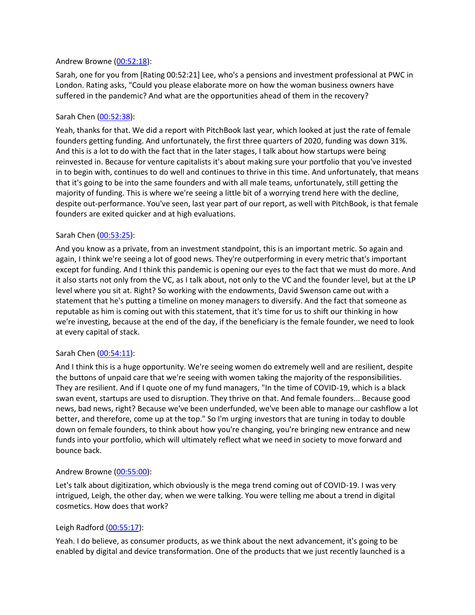## Andrew Browne [\(00:52:18\)](https://www.rev.com/transcript-editor/Edit?token=wzOIkRWpKAeUWXzwpAlEVfSdjYNJgkhS6fU1NtoLhV92EhJCoP5QzsSy3LwhtPIKvHLR7VWf1vTeTj-9LPifUSdBp8g&loadFrom=DocumentDeeplink&ts=3138.41):

Sarah, one for you from [Rating 00:52:21] Lee, who's a pensions and investment professional at PWC in London. Rating asks, "Could you please elaborate more on how the woman business owners have suffered in the pandemic? And what are the opportunities ahead of them in the recovery?

# Sarah Chen [\(00:52:38\)](https://www.rev.com/transcript-editor/Edit?token=6N1H7qoE_rPvBjQexdWopDZbED1CmkyhZyLoz0DQDkfI6WCFaI_J7JRa7sqhBink7O-2_hXGKuvqPGqVctbgKtvK7Qk&loadFrom=DocumentDeeplink&ts=3158.24):

Yeah, thanks for that. We did a report with PitchBook last year, which looked at just the rate of female founders getting funding. And unfortunately, the first three quarters of 2020, funding was down 31%. And this is a lot to do with the fact that in the later stages, I talk about how startups were being reinvested in. Because for venture capitalists it's about making sure your portfolio that you've invested in to begin with, continues to do well and continues to thrive in this time. And unfortunately, that means that it's going to be into the same founders and with all male teams, unfortunately, still getting the majority of funding. This is where we're seeing a little bit of a worrying trend here with the decline, despite out-performance. You've seen, last year part of our report, as well with PitchBook, is that female founders are exited quicker and at high evaluations.

# Sarah Chen [\(00:53:25\)](https://www.rev.com/transcript-editor/Edit?token=zNBJI1sHfd8Jfj_hHbWX2mzfgsY1CZ8P6HALd3jer2trBx-Niv6VjtuXEsbVlXAKlRtZg_VGnkjnsdqXco8I4H5sRvk&loadFrom=DocumentDeeplink&ts=3205.77):

And you know as a private, from an investment standpoint, this is an important metric. So again and again, I think we're seeing a lot of good news. They're outperforming in every metric that's important except for funding. And I think this pandemic is opening our eyes to the fact that we must do more. And it also starts not only from the VC, as I talk about, not only to the VC and the founder level, but at the LP level where you sit at. Right? So working with the endowments, David Swenson came out with a statement that he's putting a timeline on money managers to diversify. And the fact that someone as reputable as him is coming out with this statement, that it's time for us to shift our thinking in how we're investing, because at the end of the day, if the beneficiary is the female founder, we need to look at every capital of stack.

# Sarah Chen [\(00:54:11\)](https://www.rev.com/transcript-editor/Edit?token=FmM7kGNY36j62sMzCsWEjoH41BSJvPL5x3y5B44myHDDl5xp1Wi0chiUg5cRTTLahZI45BtRfIfa-FtR0d-h492ahFk&loadFrom=DocumentDeeplink&ts=3251.24):

And I think this is a huge opportunity. We're seeing women do extremely well and are resilient, despite the buttons of unpaid care that we're seeing with women taking the majority of the responsibilities. They are resilient. And if I quote one of my fund managers, "In the time of COVID-19, which is a black swan event, startups are used to disruption. They thrive on that. And female founders... Because good news, bad news, right? Because we've been underfunded, we've been able to manage our cashflow a lot better, and therefore, come up at the top." So I'm urging investors that are tuning in today to double down on female founders, to think about how you're changing, you're bringing new entrance and new funds into your portfolio, which will ultimately reflect what we need in society to move forward and bounce back.

# Andrew Browne [\(00:55:00\)](https://www.rev.com/transcript-editor/Edit?token=IHPfjl60SND5meb9mMgCGS-xdRD-nSgUlUlB92yybJ4yZto6ME3icnFfRyhrMNbEG5Ds98b6ZssD2isTqB1N7aDuu9Q&loadFrom=DocumentDeeplink&ts=3300.19):

Let's talk about digitization, which obviously is the mega trend coming out of COVID-19. I was very intrigued, Leigh, the other day, when we were talking. You were telling me about a trend in digital cosmetics. How does that work?

# Leigh Radford [\(00:55:17\)](https://www.rev.com/transcript-editor/Edit?token=3l4MbZ56c1VC2ORzYD-PqodYzc1SVmWhY4WEd5_LMSmxn75HY3QT8vZKEWPawCpBgpkBtmeMIufWB-LedbgaD-POyYk&loadFrom=DocumentDeeplink&ts=3317.09):

Yeah. I do believe, as consumer products, as we think about the next advancement, it's going to be enabled by digital and device transformation. One of the products that we just recently launched is a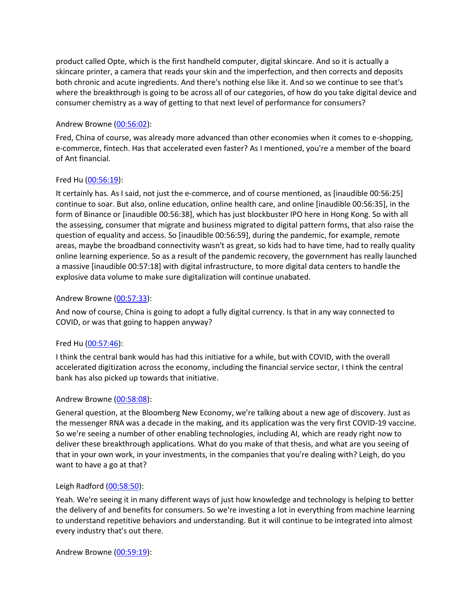product called Opte, which is the first handheld computer, digital skincare. And so it is actually a skincare printer, a camera that reads your skin and the imperfection, and then corrects and deposits both chronic and acute ingredients. And there's nothing else like it. And so we continue to see that's where the breakthrough is going to be across all of our categories, of how do you take digital device and consumer chemistry as a way of getting to that next level of performance for consumers?

# Andrew Browne [\(00:56:02\)](https://www.rev.com/transcript-editor/Edit?token=8fjYkbB6DZbs7R1l__d2MH72ZIuv3tRKg0UVKQCD9CNZCwfutaEhVLwzoaIPrXUUE17fLEKOxDa96DwT6KK3aTdvDd4&loadFrom=DocumentDeeplink&ts=3362.96):

Fred, China of course, was already more advanced than other economies when it comes to e-shopping, e-commerce, fintech. Has that accelerated even faster? As I mentioned, you're a member of the board of Ant financial.

# Fred Hu [\(00:56:19\)](https://www.rev.com/transcript-editor/Edit?token=cWGRn6N8eV-QfdUrV85B52qHma8XEpde6178bwxXvmANum5qdg7k6U7CsVi1HETpGKkBnMBQObAhkbYDDSPiy13niyE&loadFrom=DocumentDeeplink&ts=3379.31):

It certainly has. As I said, not just the e-commerce, and of course mentioned, as [inaudible 00:56:25] continue to soar. But also, online education, online health care, and online [inaudible 00:56:35], in the form of Binance or [inaudible 00:56:38], which has just blockbuster IPO here in Hong Kong. So with all the assessing, consumer that migrate and business migrated to digital pattern forms, that also raise the question of equality and access. So [inaudible 00:56:59], during the pandemic, for example, remote areas, maybe the broadband connectivity wasn't as great, so kids had to have time, had to really quality online learning experience. So as a result of the pandemic recovery, the government has really launched a massive [inaudible 00:57:18] with digital infrastructure, to more digital data centers to handle the explosive data volume to make sure digitalization will continue unabated.

# Andrew Browne [\(00:57:33\)](https://www.rev.com/transcript-editor/Edit?token=4MRYHGCCkt-fUWlmszxxa_p2S2DuPF1bQfE7LK0HMFf_X-FhUdfg0GsLNO9hBZA8sDAgBQgfSnCd6Tiy5eTPQOPi-pk&loadFrom=DocumentDeeplink&ts=3453.74):

And now of course, China is going to adopt a fully digital currency. Is that in any way connected to COVID, or was that going to happen anyway?

# Fred Hu [\(00:57:46\)](https://www.rev.com/transcript-editor/Edit?token=MUH0ET_wWoy4y9H8g9WWnMi56QIfOXsANyFOQm9x1UxXDKe4gOPKLQ98T8MjkMpK4Om16ST3UrkQkoPyS1tPNveygog&loadFrom=DocumentDeeplink&ts=3466.09):

I think the central bank would has had this initiative for a while, but with COVID, with the overall accelerated digitization across the economy, including the financial service sector, I think the central bank has also picked up towards that initiative.

# Andrew Browne [\(00:58:08\)](https://www.rev.com/transcript-editor/Edit?token=HQiH2Qbjt94aN_yN0Jdwd_avM3T_KMA6P64ymxhKP8HqDfaZikUObhwWY43PmN_K_FutbvWRFSj1ZWo2_S7ThFHbgT0&loadFrom=DocumentDeeplink&ts=3488.95):

General question, at the Bloomberg New Economy, we're talking about a new age of discovery. Just as the messenger RNA was a decade in the making, and its application was the very first COVID-19 vaccine. So we're seeing a number of other enabling technologies, including AI, which are ready right now to deliver these breakthrough applications. What do you make of that thesis, and what are you seeing of that in your own work, in your investments, in the companies that you're dealing with? Leigh, do you want to have a go at that?

# Leigh Radford [\(00:58:50\)](https://www.rev.com/transcript-editor/Edit?token=fHlqweIAjqsxp2LmwrY4qwlwBlj9tva807f-jFRFlDN5knkOcF10ZkTTqB7vKObvm8s6w1yW1eEgiee4a9BnId8mzHI&loadFrom=DocumentDeeplink&ts=3530.77):

Yeah. We're seeing it in many different ways of just how knowledge and technology is helping to better the delivery of and benefits for consumers. So we're investing a lot in everything from machine learning to understand repetitive behaviors and understanding. But it will continue to be integrated into almost every industry that's out there.

Andrew Browne [\(00:59:19\)](https://www.rev.com/transcript-editor/Edit?token=h24cESyX1wsJcV2aPYcOvwP2lHeWJfcHRw__ZrAEpDv7FFjQvgU87JXLPjFPigH73GY94ZsrXa2GdDmChQhu_FhRz4w&loadFrom=DocumentDeeplink&ts=3559.57):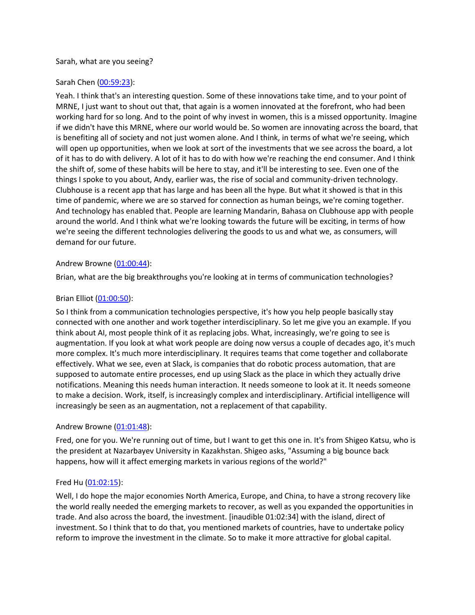## Sarah, what are you seeing?

# Sarah Chen [\(00:59:23\)](https://www.rev.com/transcript-editor/Edit?token=3QF8kijA_g-bqZgKRcBlu8Z63jleuTEM7VCQONDvEgXayOvl5Sj5TeO0v1OIFctPQS68M3HiM87ukMHxd0qNhn24Pk4&loadFrom=DocumentDeeplink&ts=3563.55):

Yeah. I think that's an interesting question. Some of these innovations take time, and to your point of MRNE, I just want to shout out that, that again is a women innovated at the forefront, who had been working hard for so long. And to the point of why invest in women, this is a missed opportunity. Imagine if we didn't have this MRNE, where our world would be. So women are innovating across the board, that is benefiting all of society and not just women alone. And I think, in terms of what we're seeing, which will open up opportunities, when we look at sort of the investments that we see across the board, a lot of it has to do with delivery. A lot of it has to do with how we're reaching the end consumer. And I think the shift of, some of these habits will be here to stay, and it'll be interesting to see. Even one of the things I spoke to you about, Andy, earlier was, the rise of social and community-driven technology. Clubhouse is a recent app that has large and has been all the hype. But what it showed is that in this time of pandemic, where we are so starved for connection as human beings, we're coming together. And technology has enabled that. People are learning Mandarin, Bahasa on Clubhouse app with people around the world. And I think what we're looking towards the future will be exciting, in terms of how we're seeing the different technologies delivering the goods to us and what we, as consumers, will demand for our future.

## Andrew Browne [\(01:00:44\)](https://www.rev.com/transcript-editor/Edit?token=OG1o146mIbt88QNNt26HR23HphyfKxb_8erec9IfOjk1566044idikg1ivBrXTRPNsAcEGM5ahBFKHj2anf7WG-Dp4c&loadFrom=DocumentDeeplink&ts=3644.43):

Brian, what are the big breakthroughs you're looking at in terms of communication technologies?

## Brian Elliot [\(01:00:50\)](https://www.rev.com/transcript-editor/Edit?token=sOc1M3vO6mg4zwyy8Jih0Y_jMlgERGB7wA-MTEPedglipreZpRqOGUSk9_g3VsfIIX5GmbFIHf7LXyiItB6iYawBywg&loadFrom=DocumentDeeplink&ts=3650.9):

So I think from a communication technologies perspective, it's how you help people basically stay connected with one another and work together interdisciplinary. So let me give you an example. If you think about AI, most people think of it as replacing jobs. What, increasingly, we're going to see is augmentation. If you look at what work people are doing now versus a couple of decades ago, it's much more complex. It's much more interdisciplinary. It requires teams that come together and collaborate effectively. What we see, even at Slack, is companies that do robotic process automation, that are supposed to automate entire processes, end up using Slack as the place in which they actually drive notifications. Meaning this needs human interaction. It needs someone to look at it. It needs someone to make a decision. Work, itself, is increasingly complex and interdisciplinary. Artificial intelligence will increasingly be seen as an augmentation, not a replacement of that capability.

### Andrew Browne [\(01:01:48\)](https://www.rev.com/transcript-editor/Edit?token=eLCkKRONhqkeLijlNycjzvPG2yHHAlI95Ig3UJGNr47udJeb1vo6PdKWBvQpMJMUHnX1LPTZcIUR3_mSwlMlLrXDMn8&loadFrom=DocumentDeeplink&ts=3708.76):

Fred, one for you. We're running out of time, but I want to get this one in. It's from Shigeo Katsu, who is the president at Nazarbayev University in Kazakhstan. Shigeo asks, "Assuming a big bounce back happens, how will it affect emerging markets in various regions of the world?"

### Fred Hu [\(01:02:15\)](https://www.rev.com/transcript-editor/Edit?token=_N10v_iimO_Ht9k3sn2MZ8SA03YOpeTYpmulx6Wyre1MDvy9J69UiKGM3FJddLbsNhQ_C5iWe86p1OfCIt6KvUiYsP8&loadFrom=DocumentDeeplink&ts=3735.08):

Well, I do hope the major economies North America, Europe, and China, to have a strong recovery like the world really needed the emerging markets to recover, as well as you expanded the opportunities in trade. And also across the board, the investment. [inaudible 01:02:34] with the island, direct of investment. So I think that to do that, you mentioned markets of countries, have to undertake policy reform to improve the investment in the climate. So to make it more attractive for global capital.